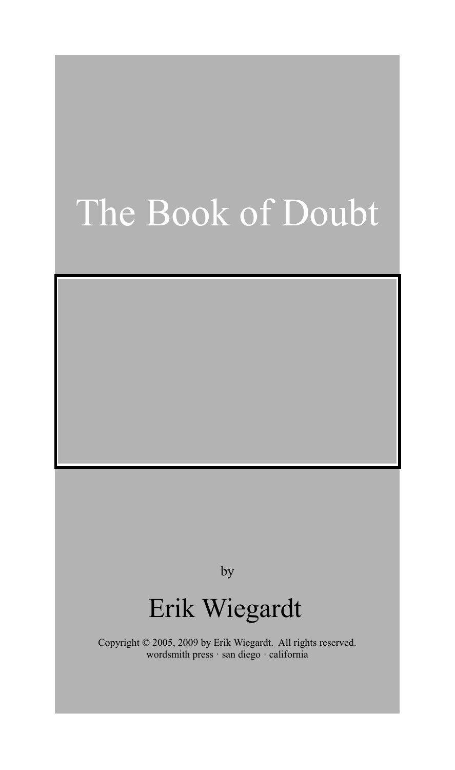# The Book of Doubt

by

# Erik Wiegardt

Copyright © 2005, 2009 by Erik Wiegardt. All rights reserved. wordsmith press · san diego · california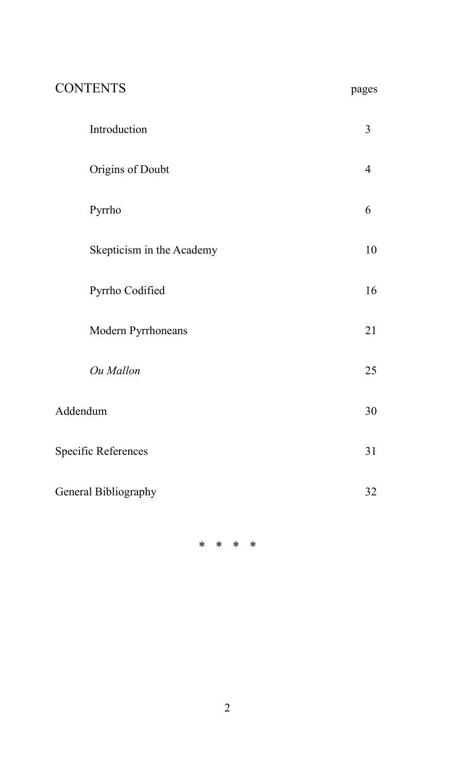# **CONTENTS**

| r.<br>٠<br>٧ |
|--------------|
|--------------|

|                             | Introduction              | $\mathfrak{Z}$ |
|-----------------------------|---------------------------|----------------|
|                             | Origins of Doubt          | $\overline{4}$ |
|                             | Pyrrho                    | 6              |
|                             | Skepticism in the Academy | 10             |
|                             | Pyrrho Codified           | 16             |
|                             | Modern Pyrrhoneans        | 21             |
|                             | Ou Mallon                 | 25             |
| Addendum                    |                           | 30             |
| <b>Specific References</b>  |                           | 31             |
| <b>General Bibliography</b> |                           | 32             |

\* \* \* \*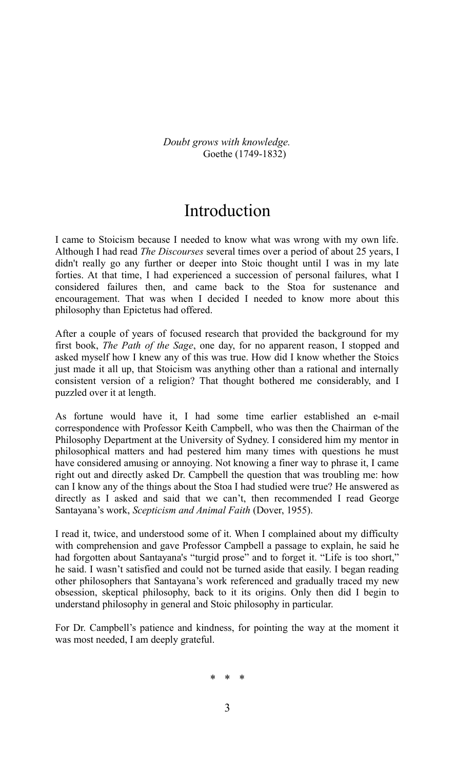*Doubt grows with knowledge.* Goethe (1749-1832)

# Introduction

I came to Stoicism because I needed to know what was wrong with my own life. Although I had read *The Discourses* several times over a period of about 25 years, I didn't really go any further or deeper into Stoic thought until I was in my late forties. At that time, I had experienced a succession of personal failures, what I considered failures then, and came back to the Stoa for sustenance and encouragement. That was when I decided I needed to know more about this philosophy than Epictetus had offered.

After a couple of years of focused research that provided the background for my first book, *The Path of the Sage*, one day, for no apparent reason, I stopped and asked myself how I knew any of this was true. How did I know whether the Stoics just made it all up, that Stoicism was anything other than a rational and internally consistent version of a religion? That thought bothered me considerably, and I puzzled over it at length.

As fortune would have it, I had some time earlier established an e-mail correspondence with Professor Keith Campbell, who was then the Chairman of the Philosophy Department at the University of Sydney. I considered him my mentor in philosophical matters and had pestered him many times with questions he must have considered amusing or annoying. Not knowing a finer way to phrase it, I came right out and directly asked Dr. Campbell the question that was troubling me: how can I know any of the things about the Stoa I had studied were true? He answered as directly as I asked and said that we can't, then recommended I read George Santayana's work, *Scepticism and Animal Faith* (Dover, 1955).

I read it, twice, and understood some of it. When I complained about my difficulty with comprehension and gave Professor Campbell a passage to explain, he said he had forgotten about Santayana's "turgid prose" and to forget it. "Life is too short," he said. I wasn't satisfied and could not be turned aside that easily. I began reading other philosophers that Santayana's work referenced and gradually traced my new obsession, skeptical philosophy, back to it its origins. Only then did I begin to understand philosophy in general and Stoic philosophy in particular.

For Dr. Campbell's patience and kindness, for pointing the way at the moment it was most needed, I am deeply grateful.

\* \* \*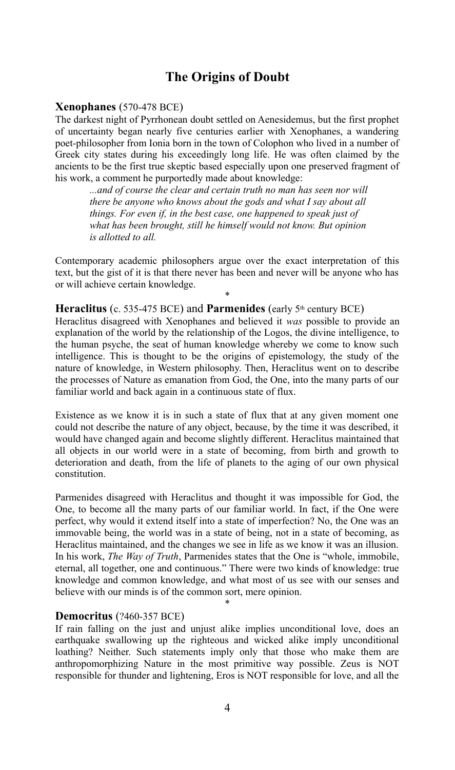## **The Origins of Doubt**

#### **Xenophanes** (570-478 BCE)

The darkest night of Pyrrhonean doubt settled on Aenesidemus, but the first prophet of uncertainty began nearly five centuries earlier with Xenophanes, a wandering poet-philosopher from Ionia born in the town of Colophon who lived in a number of Greek city states during his exceedingly long life. He was often claimed by the ancients to be the first true skeptic based especially upon one preserved fragment of his work, a comment he purportedly made about knowledge:

> *...and of course the clear and certain truth no man has seen nor will there be anyone who knows about the gods and what I say about all things. For even if, in the best case, one happened to speak just of what has been brought, still he himself would not know. But opinion is allotted to all.*

Contemporary academic philosophers argue over the exact interpretation of this text, but the gist of it is that there never has been and never will be anyone who has or will achieve certain knowledge. \*

#### **Heraclitus** (c. 535-475 BCE) and **Parmenides** (early 5<sup>th</sup> century BCE)

Heraclitus disagreed with Xenophanes and believed it *was* possible to provide an explanation of the world by the relationship of the Logos, the divine intelligence, to the human psyche, the seat of human knowledge whereby we come to know such intelligence. This is thought to be the origins of epistemology, the study of the nature of knowledge, in Western philosophy. Then, Heraclitus went on to describe the processes of Nature as emanation from God, the One, into the many parts of our familiar world and back again in a continuous state of flux.

Existence as we know it is in such a state of flux that at any given moment one could not describe the nature of any object, because, by the time it was described, it would have changed again and become slightly different. Heraclitus maintained that all objects in our world were in a state of becoming, from birth and growth to deterioration and death, from the life of planets to the aging of our own physical constitution.

Parmenides disagreed with Heraclitus and thought it was impossible for God, the One, to become all the many parts of our familiar world. In fact, if the One were perfect, why would it extend itself into a state of imperfection? No, the One was an immovable being, the world was in a state of being, not in a state of becoming, as Heraclitus maintained, and the changes we see in life as we know it was an illusion. In his work, *The Way of Truth*, Parmenides states that the One is "whole, immobile, eternal, all together, one and continuous." There were two kinds of knowledge: true knowledge and common knowledge, and what most of us see with our senses and believe with our minds is of the common sort, mere opinion.

#### **Democritus** (?460-357 BCE)

If rain falling on the just and unjust alike implies unconditional love, does an earthquake swallowing up the righteous and wicked alike imply unconditional loathing? Neither. Such statements imply only that those who make them are anthropomorphizing Nature in the most primitive way possible. Zeus is NOT responsible for thunder and lightening, Eros is NOT responsible for love, and all the

\*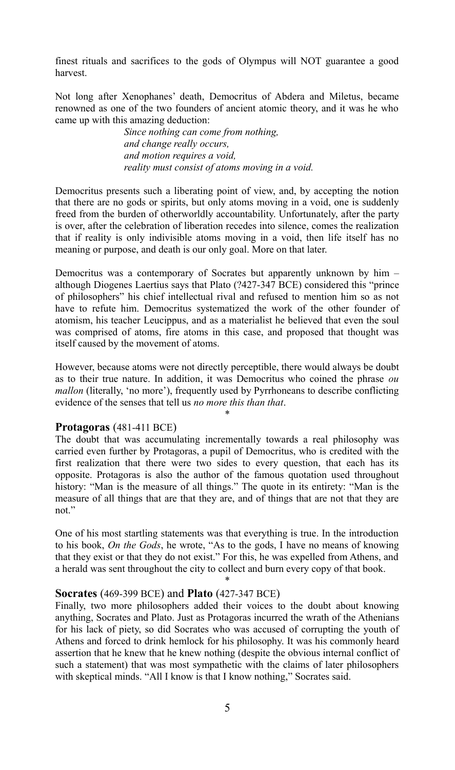finest rituals and sacrifices to the gods of Olympus will NOT guarantee a good harvest.

Not long after Xenophanes' death, Democritus of Abdera and Miletus, became renowned as one of the two founders of ancient atomic theory, and it was he who came up with this amazing deduction:

> *Since nothing can come from nothing, and change really occurs, and motion requires a void, reality must consist of atoms moving in a void.*

Democritus presents such a liberating point of view, and, by accepting the notion that there are no gods or spirits, but only atoms moving in a void, one is suddenly freed from the burden of otherworldly accountability. Unfortunately, after the party is over, after the celebration of liberation recedes into silence, comes the realization that if reality is only indivisible atoms moving in a void, then life itself has no meaning or purpose, and death is our only goal. More on that later.

Democritus was a contemporary of Socrates but apparently unknown by him – although Diogenes Laertius says that Plato (?427-347 BCE) considered this "prince of philosophers" his chief intellectual rival and refused to mention him so as not have to refute him. Democritus systematized the work of the other founder of atomism, his teacher Leucippus, and as a materialist he believed that even the soul was comprised of atoms, fire atoms in this case, and proposed that thought was itself caused by the movement of atoms.

However, because atoms were not directly perceptible, there would always be doubt as to their true nature. In addition, it was Democritus who coined the phrase *ou mallon* (literally, 'no more'), frequently used by Pyrrhoneans to describe conflicting evidence of the senses that tell us *no more this than that*.

\*

#### **Protagoras** (481-411 BCE)

The doubt that was accumulating incrementally towards a real philosophy was carried even further by Protagoras, a pupil of Democritus, who is credited with the first realization that there were two sides to every question, that each has its opposite. Protagoras is also the author of the famous quotation used throughout history: "Man is the measure of all things." The quote in its entirety: "Man is the measure of all things that are that they are, and of things that are not that they are not."

One of his most startling statements was that everything is true. In the introduction to his book, *On the Gods*, he wrote, "As to the gods, I have no means of knowing that they exist or that they do not exist." For this, he was expelled from Athens, and a herald was sent throughout the city to collect and burn every copy of that book.

\*

#### **Socrates** (469-399 BCE) and **Plato** (427-347 BCE)

Finally, two more philosophers added their voices to the doubt about knowing anything, Socrates and Plato. Just as Protagoras incurred the wrath of the Athenians for his lack of piety, so did Socrates who was accused of corrupting the youth of Athens and forced to drink hemlock for his philosophy. It was his commonly heard assertion that he knew that he knew nothing (despite the obvious internal conflict of such a statement) that was most sympathetic with the claims of later philosophers with skeptical minds. "All I know is that I know nothing," Socrates said.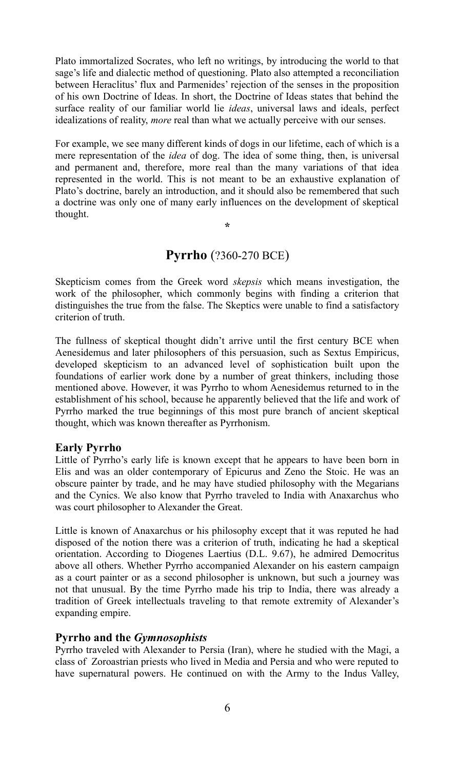Plato immortalized Socrates, who left no writings, by introducing the world to that sage's life and dialectic method of questioning. Plato also attempted a reconciliation between Heraclitus' flux and Parmenides' rejection of the senses in the proposition of his own Doctrine of Ideas. In short, the Doctrine of Ideas states that behind the surface reality of our familiar world lie *ideas*, universal laws and ideals, perfect idealizations of reality, *more* real than what we actually perceive with our senses.

For example, we see many different kinds of dogs in our lifetime, each of which is a mere representation of the *idea* of dog. The idea of some thing, then, is universal and permanent and, therefore, more real than the many variations of that idea represented in the world. This is not meant to be an exhaustive explanation of Plato's doctrine, barely an introduction, and it should also be remembered that such a doctrine was only one of many early influences on the development of skeptical thought.

#### **Pyrrho** (?360-270 BCE)

**\***

Skepticism comes from the Greek word *skepsis* which means investigation, the work of the philosopher, which commonly begins with finding a criterion that distinguishes the true from the false. The Skeptics were unable to find a satisfactory criterion of truth.

The fullness of skeptical thought didn't arrive until the first century BCE when Aenesidemus and later philosophers of this persuasion, such as Sextus Empiricus, developed skepticism to an advanced level of sophistication built upon the foundations of earlier work done by a number of great thinkers, including those mentioned above. However, it was Pyrrho to whom Aenesidemus returned to in the establishment of his school, because he apparently believed that the life and work of Pyrrho marked the true beginnings of this most pure branch of ancient skeptical thought, which was known thereafter as Pyrrhonism.

#### **Early Pyrrho**

Little of Pyrrho's early life is known except that he appears to have been born in Elis and was an older contemporary of Epicurus and Zeno the Stoic. He was an obscure painter by trade, and he may have studied philosophy with the Megarians and the Cynics. We also know that Pyrrho traveled to India with Anaxarchus who was court philosopher to Alexander the Great.

Little is known of Anaxarchus or his philosophy except that it was reputed he had disposed of the notion there was a criterion of truth, indicating he had a skeptical orientation. According to Diogenes Laertius (D.L. 9.67), he admired Democritus above all others. Whether Pyrrho accompanied Alexander on his eastern campaign as a court painter or as a second philosopher is unknown, but such a journey was not that unusual. By the time Pyrrho made his trip to India, there was already a tradition of Greek intellectuals traveling to that remote extremity of Alexander's expanding empire.

#### **Pyrrho and the** *Gymnosophists*

Pyrrho traveled with Alexander to Persia (Iran), where he studied with the Magi, a class of Zoroastrian priests who lived in Media and Persia and who were reputed to have supernatural powers. He continued on with the Army to the Indus Valley,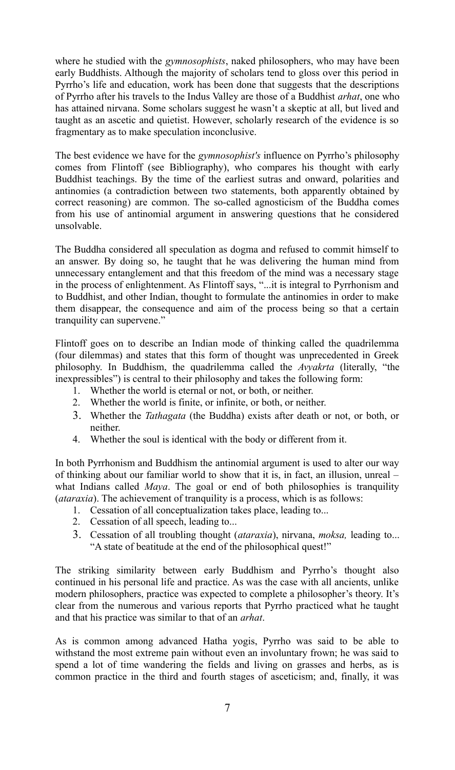where he studied with the *gymnosophists*, naked philosophers, who may have been early Buddhists. Although the majority of scholars tend to gloss over this period in Pyrrho's life and education, work has been done that suggests that the descriptions of Pyrrho after his travels to the Indus Valley are those of a Buddhist *arhat*, one who has attained nirvana. Some scholars suggest he wasn't a skeptic at all, but lived and taught as an ascetic and quietist. However, scholarly research of the evidence is so fragmentary as to make speculation inconclusive.

The best evidence we have for the *gymnosophist's* influence on Pyrrho's philosophy comes from Flintoff (see Bibliography), who compares his thought with early Buddhist teachings. By the time of the earliest sutras and onward, polarities and antinomies (a contradiction between two statements, both apparently obtained by correct reasoning) are common. The so-called agnosticism of the Buddha comes from his use of antinomial argument in answering questions that he considered unsolvable.

The Buddha considered all speculation as dogma and refused to commit himself to an answer. By doing so, he taught that he was delivering the human mind from unnecessary entanglement and that this freedom of the mind was a necessary stage in the process of enlightenment. As Flintoff says, "...it is integral to Pyrrhonism and to Buddhist, and other Indian, thought to formulate the antinomies in order to make them disappear, the consequence and aim of the process being so that a certain tranquility can supervene."

Flintoff goes on to describe an Indian mode of thinking called the quadrilemma (four dilemmas) and states that this form of thought was unprecedented in Greek philosophy. In Buddhism, the quadrilemma called the *Avyakrta* (literally, "the inexpressibles") is central to their philosophy and takes the following form:

- 1. Whether the world is eternal or not, or both, or neither.
- 2. Whether the world is finite, or infinite, or both, or neither.
- 3. Whether the *Tathagata* (the Buddha) exists after death or not, or both, or neither.
- 4. Whether the soul is identical with the body or different from it.

In both Pyrrhonism and Buddhism the antinomial argument is used to alter our way of thinking about our familiar world to show that it is, in fact, an illusion, unreal – what Indians called *Maya*. The goal or end of both philosophies is tranquility (*ataraxia*). The achievement of tranquility is a process, which is as follows:

- 1. Cessation of all conceptualization takes place, leading to...
- 2. Cessation of all speech, leading to...
- 3. Cessation of all troubling thought (*ataraxia*), nirvana, *moksa,* leading to... "A state of beatitude at the end of the philosophical quest!"

The striking similarity between early Buddhism and Pyrrho's thought also continued in his personal life and practice. As was the case with all ancients, unlike modern philosophers, practice was expected to complete a philosopher's theory. It's clear from the numerous and various reports that Pyrrho practiced what he taught and that his practice was similar to that of an *arhat*.

As is common among advanced Hatha yogis, Pyrrho was said to be able to withstand the most extreme pain without even an involuntary frown; he was said to spend a lot of time wandering the fields and living on grasses and herbs, as is common practice in the third and fourth stages of asceticism; and, finally, it was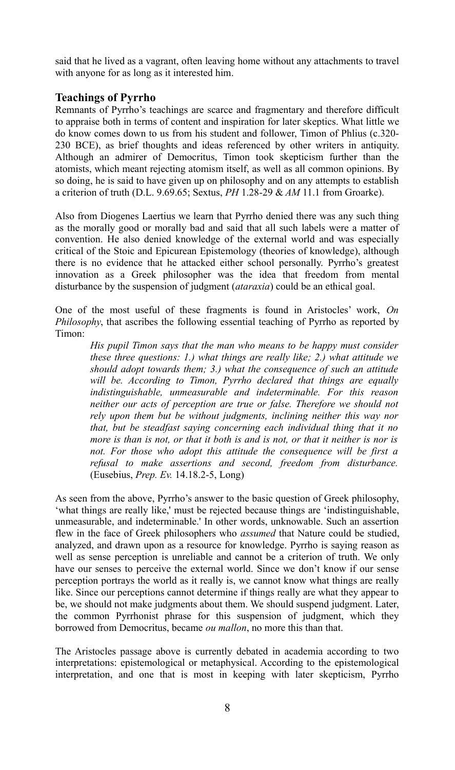said that he lived as a vagrant, often leaving home without any attachments to travel with anyone for as long as it interested him.

#### **Teachings of Pyrrho**

Remnants of Pyrrho's teachings are scarce and fragmentary and therefore difficult to appraise both in terms of content and inspiration for later skeptics. What little we do know comes down to us from his student and follower, Timon of Phlius (c.320- 230 BCE), as brief thoughts and ideas referenced by other writers in antiquity. Although an admirer of Democritus, Timon took skepticism further than the atomists, which meant rejecting atomism itself, as well as all common opinions. By so doing, he is said to have given up on philosophy and on any attempts to establish a criterion of truth (D.L. 9.69.65; Sextus, *PH* 1.28-29 & *AM* 11.1 from Groarke).

Also from Diogenes Laertius we learn that Pyrrho denied there was any such thing as the morally good or morally bad and said that all such labels were a matter of convention. He also denied knowledge of the external world and was especially critical of the Stoic and Epicurean Epistemology (theories of knowledge), although there is no evidence that he attacked either school personally. Pyrrho's greatest innovation as a Greek philosopher was the idea that freedom from mental disturbance by the suspension of judgment (*ataraxia*) could be an ethical goal.

One of the most useful of these fragments is found in Aristocles' work, *On Philosophy*, that ascribes the following essential teaching of Pyrrho as reported by Timon:

*His pupil Timon says that the man who means to be happy must consider these three questions: 1.) what things are really like; 2.) what attitude we should adopt towards them; 3.) what the consequence of such an attitude will be. According to Timon, Pyrrho declared that things are equally indistinguishable, unmeasurable and indeterminable. For this reason neither our acts of perception are true or false. Therefore we should not rely upon them but be without judgments, inclining neither this way nor that, but be steadfast saying concerning each individual thing that it no more is than is not, or that it both is and is not, or that it neither is nor is not. For those who adopt this attitude the consequence will be first a refusal to make assertions and second, freedom from disturbance.* (Eusebius, *Prep. Ev.* 14.18.2-5, Long)

As seen from the above, Pyrrho's answer to the basic question of Greek philosophy, 'what things are really like,' must be rejected because things are 'indistinguishable, unmeasurable, and indeterminable.' In other words, unknowable. Such an assertion flew in the face of Greek philosophers who *assumed* that Nature could be studied, analyzed, and drawn upon as a resource for knowledge. Pyrrho is saying reason as well as sense perception is unreliable and cannot be a criterion of truth. We only have our senses to perceive the external world. Since we don't know if our sense perception portrays the world as it really is, we cannot know what things are really like. Since our perceptions cannot determine if things really are what they appear to be, we should not make judgments about them. We should suspend judgment. Later, the common Pyrrhonist phrase for this suspension of judgment, which they borrowed from Democritus, became *ou mallon*, no more this than that.

The Aristocles passage above is currently debated in academia according to two interpretations: epistemological or metaphysical. According to the epistemological interpretation, and one that is most in keeping with later skepticism, Pyrrho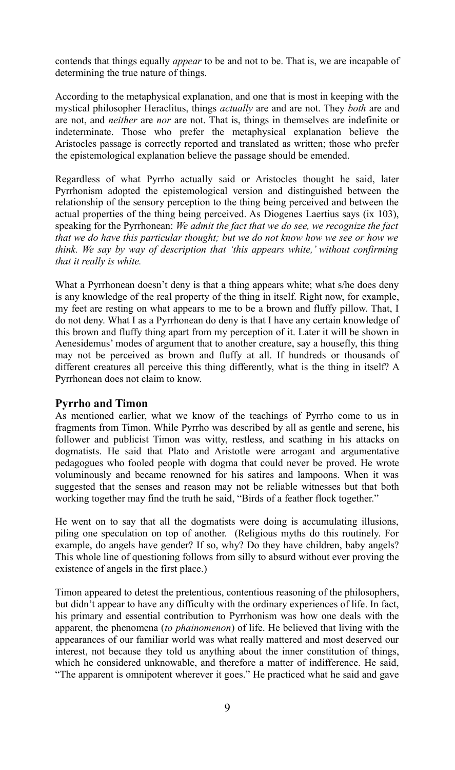contends that things equally *appear* to be and not to be. That is, we are incapable of determining the true nature of things.

According to the metaphysical explanation, and one that is most in keeping with the mystical philosopher Heraclitus, things *actually* are and are not. They *both* are and are not, and *neither* are *nor* are not. That is, things in themselves are indefinite or indeterminate. Those who prefer the metaphysical explanation believe the Aristocles passage is correctly reported and translated as written; those who prefer the epistemological explanation believe the passage should be emended.

Regardless of what Pyrrho actually said or Aristocles thought he said, later Pyrrhonism adopted the epistemological version and distinguished between the relationship of the sensory perception to the thing being perceived and between the actual properties of the thing being perceived. As Diogenes Laertius says (ix 103), speaking for the Pyrrhonean: *We admit the fact that we do see, we recognize the fact that we do have this particular thought; but we do not know how we see or how we think. We say by way of description that 'this appears white,' without confirming that it really is white.*

What a Pyrrhonean doesn't deny is that a thing appears white; what s/he does deny is any knowledge of the real property of the thing in itself. Right now, for example, my feet are resting on what appears to me to be a brown and fluffy pillow. That, I do not deny. What I as a Pyrrhonean do deny is that I have any certain knowledge of this brown and fluffy thing apart from my perception of it. Later it will be shown in Aenesidemus' modes of argument that to another creature, say a housefly, this thing may not be perceived as brown and fluffy at all. If hundreds or thousands of different creatures all perceive this thing differently, what is the thing in itself? A Pyrrhonean does not claim to know.

#### **Pyrrho and Timon**

As mentioned earlier, what we know of the teachings of Pyrrho come to us in fragments from Timon. While Pyrrho was described by all as gentle and serene, his follower and publicist Timon was witty, restless, and scathing in his attacks on dogmatists. He said that Plato and Aristotle were arrogant and argumentative pedagogues who fooled people with dogma that could never be proved. He wrote voluminously and became renowned for his satires and lampoons. When it was suggested that the senses and reason may not be reliable witnesses but that both working together may find the truth he said, "Birds of a feather flock together."

He went on to say that all the dogmatists were doing is accumulating illusions, piling one speculation on top of another. (Religious myths do this routinely. For example, do angels have gender? If so, why? Do they have children, baby angels? This whole line of questioning follows from silly to absurd without ever proving the existence of angels in the first place.)

Timon appeared to detest the pretentious, contentious reasoning of the philosophers, but didn't appear to have any difficulty with the ordinary experiences of life. In fact, his primary and essential contribution to Pyrrhonism was how one deals with the apparent, the phenomena (*to phainomenon*) of life. He believed that living with the appearances of our familiar world was what really mattered and most deserved our interest, not because they told us anything about the inner constitution of things, which he considered unknowable, and therefore a matter of indifference. He said, "The apparent is omnipotent wherever it goes." He practiced what he said and gave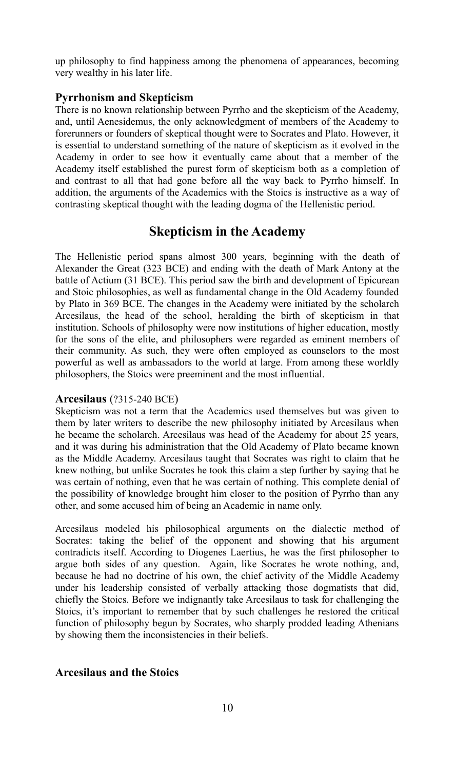up philosophy to find happiness among the phenomena of appearances, becoming very wealthy in his later life.

#### **Pyrrhonism and Skepticism**

There is no known relationship between Pyrrho and the skepticism of the Academy, and, until Aenesidemus, the only acknowledgment of members of the Academy to forerunners or founders of skeptical thought were to Socrates and Plato. However, it is essential to understand something of the nature of skepticism as it evolved in the Academy in order to see how it eventually came about that a member of the Academy itself established the purest form of skepticism both as a completion of and contrast to all that had gone before all the way back to Pyrrho himself. In addition, the arguments of the Academics with the Stoics is instructive as a way of contrasting skeptical thought with the leading dogma of the Hellenistic period.

#### **Skepticism in the Academy**

The Hellenistic period spans almost 300 years, beginning with the death of Alexander the Great (323 BCE) and ending with the death of Mark Antony at the battle of Actium (31 BCE). This period saw the birth and development of Epicurean and Stoic philosophies, as well as fundamental change in the Old Academy founded by Plato in 369 BCE. The changes in the Academy were initiated by the scholarch Arcesilaus, the head of the school, heralding the birth of skepticism in that institution. Schools of philosophy were now institutions of higher education, mostly for the sons of the elite, and philosophers were regarded as eminent members of their community. As such, they were often employed as counselors to the most powerful as well as ambassadors to the world at large. From among these worldly philosophers, the Stoics were preeminent and the most influential.

#### **Arcesilaus** (?315-240 BCE)

Skepticism was not a term that the Academics used themselves but was given to them by later writers to describe the new philosophy initiated by Arcesilaus when he became the scholarch. Arcesilaus was head of the Academy for about 25 years, and it was during his administration that the Old Academy of Plato became known as the Middle Academy. Arcesilaus taught that Socrates was right to claim that he knew nothing, but unlike Socrates he took this claim a step further by saying that he was certain of nothing, even that he was certain of nothing. This complete denial of the possibility of knowledge brought him closer to the position of Pyrrho than any other, and some accused him of being an Academic in name only.

Arcesilaus modeled his philosophical arguments on the dialectic method of Socrates: taking the belief of the opponent and showing that his argument contradicts itself. According to Diogenes Laertius, he was the first philosopher to argue both sides of any question. Again, like Socrates he wrote nothing, and, because he had no doctrine of his own, the chief activity of the Middle Academy under his leadership consisted of verbally attacking those dogmatists that did, chiefly the Stoics. Before we indignantly take Arcesilaus to task for challenging the Stoics, it's important to remember that by such challenges he restored the critical function of philosophy begun by Socrates, who sharply prodded leading Athenians by showing them the inconsistencies in their beliefs.

#### **Arcesilaus and the Stoics**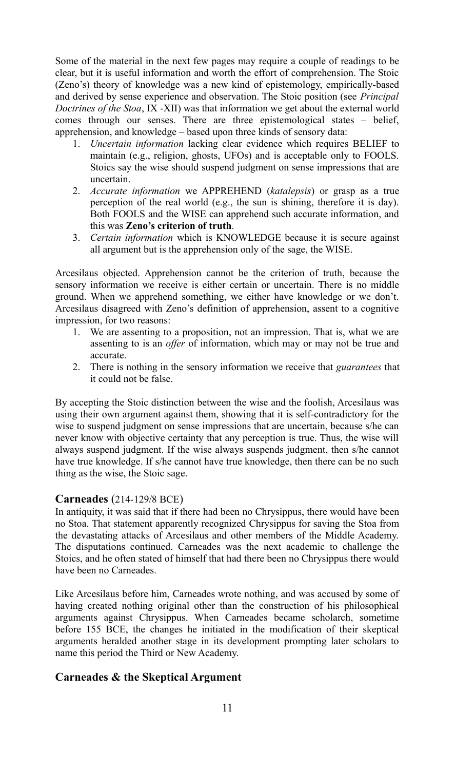Some of the material in the next few pages may require a couple of readings to be clear, but it is useful information and worth the effort of comprehension. The Stoic (Zeno's) theory of knowledge was a new kind of epistemology, empirically-based and derived by sense experience and observation. The Stoic position (see *Principal Doctrines of the Stoa*, IX -XII) was that information we get about the external world comes through our senses. There are three epistemological states – belief, apprehension, and knowledge – based upon three kinds of sensory data:

- 1. *Uncertain information* lacking clear evidence which requires BELIEF to maintain (e.g., religion, ghosts, UFOs) and is acceptable only to FOOLS. Stoics say the wise should suspend judgment on sense impressions that are uncertain.
- 2. *Accurate information* we APPREHEND (*katalepsis*) or grasp as a true perception of the real world (e.g., the sun is shining, therefore it is day). Both FOOLS and the WISE can apprehend such accurate information, and this was **Zeno's criterion of truth**.
- 3. *Certain information* which is KNOWLEDGE because it is secure against all argument but is the apprehension only of the sage, the WISE.

Arcesilaus objected. Apprehension cannot be the criterion of truth, because the sensory information we receive is either certain or uncertain. There is no middle ground. When we apprehend something, we either have knowledge or we don't. Arcesilaus disagreed with Zeno's definition of apprehension, assent to a cognitive impression, for two reasons:

- 1. We are assenting to a proposition, not an impression. That is, what we are assenting to is an *offer* of information, which may or may not be true and accurate.
- 2. There is nothing in the sensory information we receive that *guarantees* that it could not be false.

By accepting the Stoic distinction between the wise and the foolish, Arcesilaus was using their own argument against them, showing that it is self-contradictory for the wise to suspend judgment on sense impressions that are uncertain, because s/he can never know with objective certainty that any perception is true. Thus, the wise will always suspend judgment. If the wise always suspends judgment, then s/he cannot have true knowledge. If s/he cannot have true knowledge, then there can be no such thing as the wise, the Stoic sage.

#### **Carneades** (214-129/8 BCE)

In antiquity, it was said that if there had been no Chrysippus, there would have been no Stoa. That statement apparently recognized Chrysippus for saving the Stoa from the devastating attacks of Arcesilaus and other members of the Middle Academy. The disputations continued. Carneades was the next academic to challenge the Stoics, and he often stated of himself that had there been no Chrysippus there would have been no Carneades.

Like Arcesilaus before him, Carneades wrote nothing, and was accused by some of having created nothing original other than the construction of his philosophical arguments against Chrysippus. When Carneades became scholarch, sometime before 155 BCE, the changes he initiated in the modification of their skeptical arguments heralded another stage in its development prompting later scholars to name this period the Third or New Academy.

#### **Carneades & the Skeptical Argument**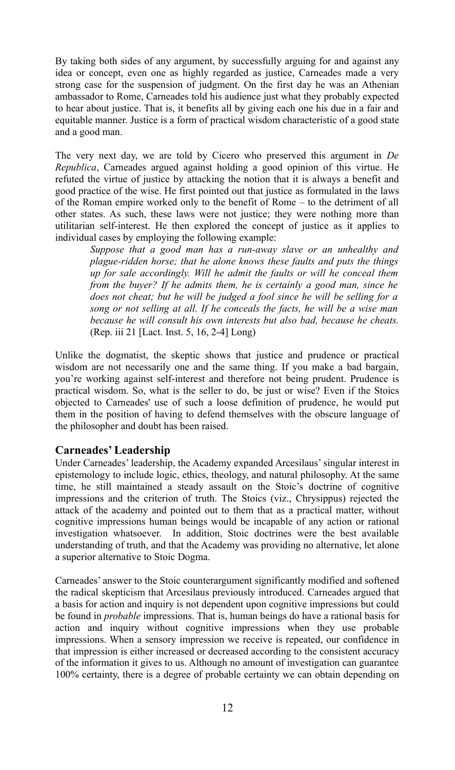By taking both sides of any argument, by successfully arguing for and against any idea or concept, even one as highly regarded as justice, Carneades made a very strong case for the suspension of judgment. On the first day he was an Athenian ambassador to Rome, Carneades told his audience just what they probably expected to hear about justice. That is, it benefits all by giving each one his due in a fair and equitable manner. Justice is a form of practical wisdom characteristic of a good state and a good man.

The very next day, we are told by Cicero who preserved this argument in *De Republica*, Carneades argued against holding a good opinion of this virtue. He refuted the virtue of justice by attacking the notion that it is always a benefit and good practice of the wise. He first pointed out that justice as formulated in the laws of the Roman empire worked only to the benefit of Rome – to the detriment of all other states. As such, these laws were not justice; they were nothing more than utilitarian self-interest. He then explored the concept of justice as it applies to individual cases by employing the following example:

*Suppose that a good man has a run-away slave or an unhealthy and plague-ridden horse; that he alone knows these faults and puts the things up for sale accordingly. Will he admit the faults or will he conceal them from the buyer? If he admits them, he is certainly a good man, since he does not cheat; but he will be judged a fool since he will be selling for a song or not selling at all. If he conceals the facts, he will be a wise man because he will consult his own interests but also bad, because he cheats.* (Rep. iii 21 [Lact. Inst. 5, 16, 2-4] Long)

Unlike the dogmatist, the skeptic shows that justice and prudence or practical wisdom are not necessarily one and the same thing. If you make a bad bargain, you're working against self-interest and therefore not being prudent. Prudence is practical wisdom. So, what is the seller to do, be just or wise? Even if the Stoics objected to Carneades' use of such a loose definition of prudence, he would put them in the position of having to defend themselves with the obscure language of the philosopher and doubt has been raised.

#### **Carneades' Leadership**

Under Carneades' leadership, the Academy expanded Arcesilaus' singular interest in epistemology to include logic, ethics, theology, and natural philosophy. At the same time, he still maintained a steady assault on the Stoic's doctrine of cognitive impressions and the criterion of truth. The Stoics (viz., Chrysippus) rejected the attack of the academy and pointed out to them that as a practical matter, without cognitive impressions human beings would be incapable of any action or rational investigation whatsoever. In addition, Stoic doctrines were the best available understanding of truth, and that the Academy was providing no alternative, let alone a superior alternative to Stoic Dogma.

Carneades' answer to the Stoic counterargument significantly modified and softened the radical skepticism that Arcesilaus previously introduced. Carneades argued that a basis for action and inquiry is not dependent upon cognitive impressions but could be found in *probable* impressions. That is, human beings do have a rational basis for action and inquiry without cognitive impressions when they use probable impressions. When a sensory impression we receive is repeated, our confidence in that impression is either increased or decreased according to the consistent accuracy of the information it gives to us. Although no amount of investigation can guarantee 100% certainty, there is a degree of probable certainty we can obtain depending on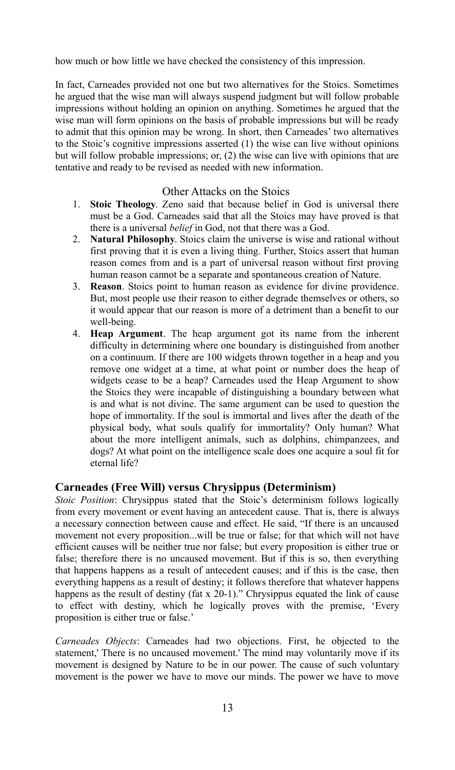how much or how little we have checked the consistency of this impression.

In fact, Carneades provided not one but two alternatives for the Stoics. Sometimes he argued that the wise man will always suspend judgment but will follow probable impressions without holding an opinion on anything. Sometimes he argued that the wise man will form opinions on the basis of probable impressions but will be ready to admit that this opinion may be wrong. In short, then Carneades' two alternatives to the Stoic's cognitive impressions asserted (1) the wise can live without opinions but will follow probable impressions; or, (2) the wise can live with opinions that are tentative and ready to be revised as needed with new information.

#### Other Attacks on the Stoics

- 1. **Stoic Theology**. Zeno said that because belief in God is universal there must be a God. Carneades said that all the Stoics may have proved is that there is a universal *belief* in God, not that there was a God.
- 2. **Natural Philosophy**. Stoics claim the universe is wise and rational without first proving that it is even a living thing. Further, Stoics assert that human reason comes from and is a part of universal reason without first proving human reason cannot be a separate and spontaneous creation of Nature.
- 3. **Reason**. Stoics point to human reason as evidence for divine providence. But, most people use their reason to either degrade themselves or others, so it would appear that our reason is more of a detriment than a benefit to our well-being.
- 4. **Heap Argument**. The heap argument got its name from the inherent difficulty in determining where one boundary is distinguished from another on a continuum. If there are 100 widgets thrown together in a heap and you remove one widget at a time, at what point or number does the heap of widgets cease to be a heap? Carneades used the Heap Argument to show the Stoics they were incapable of distinguishing a boundary between what is and what is not divine. The same argument can be used to question the hope of immortality. If the soul is immortal and lives after the death of the physical body, what souls qualify for immortality? Only human? What about the more intelligent animals, such as dolphins, chimpanzees, and dogs? At what point on the intelligence scale does one acquire a soul fit for eternal life?

#### **Carneades (Free Will) versus Chrysippus (Determinism)**

*Stoic Position*: Chrysippus stated that the Stoic's determinism follows logically from every movement or event having an antecedent cause. That is, there is always a necessary connection between cause and effect. He said, "If there is an uncaused movement not every proposition...will be true or false; for that which will not have efficient causes will be neither true nor false; but every proposition is either true or false; therefore there is no uncaused movement. But if this is so, then everything that happens happens as a result of antecedent causes; and if this is the case, then everything happens as a result of destiny; it follows therefore that whatever happens happens as the result of destiny (fat x 20-1)." Chrysippus equated the link of cause to effect with destiny, which he logically proves with the premise, 'Every proposition is either true or false.'

*Carneades Objects*: Carneades had two objections. First, he objected to the statement,' There is no uncaused movement.' The mind may voluntarily move if its movement is designed by Nature to be in our power. The cause of such voluntary movement is the power we have to move our minds. The power we have to move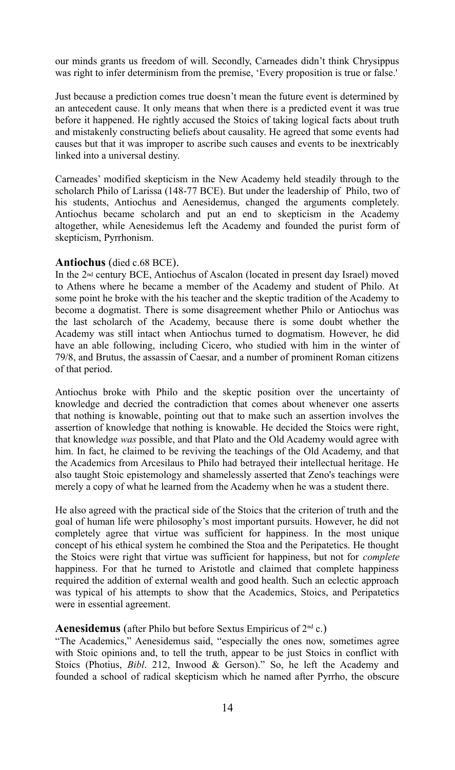our minds grants us freedom of will. Secondly, Carneades didn't think Chrysippus was right to infer determinism from the premise, 'Every proposition is true or false.'

Just because a prediction comes true doesn't mean the future event is determined by an antecedent cause. It only means that when there is a predicted event it was true before it happened. He rightly accused the Stoics of taking logical facts about truth and mistakenly constructing beliefs about causality. He agreed that some events had causes but that it was improper to ascribe such causes and events to be inextricably linked into a universal destiny.

Carneades' modified skepticism in the New Academy held steadily through to the scholarch Philo of Larissa (148-77 BCE). But under the leadership of Philo, two of his students, Antiochus and Aenesidemus, changed the arguments completely. Antiochus became scholarch and put an end to skepticism in the Academy altogether, while Aenesidemus left the Academy and founded the purist form of skepticism, Pyrrhonism.

#### **Antiochus** (died c.68 BCE).

In the 2nd century BCE, Antiochus of Ascalon (located in present day Israel) moved to Athens where he became a member of the Academy and student of Philo. At some point he broke with the his teacher and the skeptic tradition of the Academy to become a dogmatist. There is some disagreement whether Philo or Antiochus was the last scholarch of the Academy, because there is some doubt whether the Academy was still intact when Antiochus turned to dogmatism. However, he did have an able following, including Cicero, who studied with him in the winter of 79/8, and Brutus, the assassin of Caesar, and a number of prominent Roman citizens of that period.

Antiochus broke with Philo and the skeptic position over the uncertainty of knowledge and decried the contradiction that comes about whenever one asserts that nothing is knowable, pointing out that to make such an assertion involves the assertion of knowledge that nothing is knowable. He decided the Stoics were right, that knowledge *was* possible, and that Plato and the Old Academy would agree with him. In fact, he claimed to be reviving the teachings of the Old Academy, and that the Academics from Arcesilaus to Philo had betrayed their intellectual heritage. He also taught Stoic epistemology and shamelessly asserted that Zeno's teachings were merely a copy of what he learned from the Academy when he was a student there.

He also agreed with the practical side of the Stoics that the criterion of truth and the goal of human life were philosophy's most important pursuits. However, he did not completely agree that virtue was sufficient for happiness. In the most unique concept of his ethical system he combined the Stoa and the Peripatetics. He thought the Stoics were right that virtue was sufficient for happiness, but not for *complete* happiness. For that he turned to Aristotle and claimed that complete happiness required the addition of external wealth and good health. Such an eclectic approach was typical of his attempts to show that the Academics, Stoics, and Peripatetics were in essential agreement.

#### **Aenesidemus** (after Philo but before Sextus Empiricus of  $2<sup>nd</sup>$  c.)

"The Academics," Aenesidemus said, "especially the ones now, sometimes agree with Stoic opinions and, to tell the truth, appear to be just Stoics in conflict with Stoics (Photius, *Bibl*. 212, Inwood & Gerson)." So, he left the Academy and founded a school of radical skepticism which he named after Pyrrho, the obscure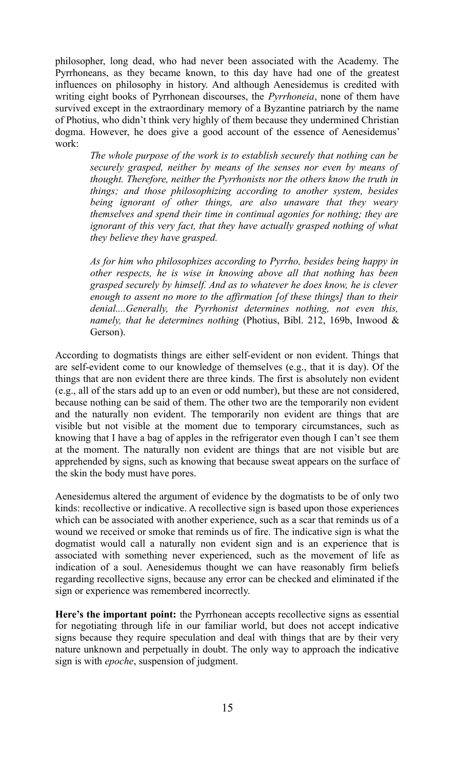philosopher, long dead, who had never been associated with the Academy. The Pyrrhoneans, as they became known, to this day have had one of the greatest influences on philosophy in history. And although Aenesidemus is credited with writing eight books of Pyrrhonean discourses, the *Pyrrhoneia*, none of them have survived except in the extraordinary memory of a Byzantine patriarch by the name of Photius, who didn't think very highly of them because they undermined Christian dogma. However, he does give a good account of the essence of Aenesidemus' work:

> *The whole purpose of the work is to establish securely that nothing can be securely grasped, neither by means of the senses nor even by means of thought. Therefore, neither the Pyrrhonists nor the others know the truth in things; and those philosophizing according to another system, besides being ignorant of other things, are also unaware that they weary themselves and spend their time in continual agonies for nothing; they are ignorant of this very fact, that they have actually grasped nothing of what they believe they have grasped.*

> *As for him who philosophizes according to Pyrrho, besides being happy in other respects, he is wise in knowing above all that nothing has been grasped securely by himself. And as to whatever he does know, he is clever enough to assent no more to the affirmation [of these things] than to their denial....Generally, the Pyrrhonist determines nothing, not even this, namely, that he determines nothing* (Photius, Bibl. 212, 169b, Inwood & Gerson).

According to dogmatists things are either self-evident or non evident. Things that are self-evident come to our knowledge of themselves (e.g., that it is day). Of the things that are non evident there are three kinds. The first is absolutely non evident (e.g., all of the stars add up to an even or odd number), but these are not considered, because nothing can be said of them. The other two are the temporarily non evident and the naturally non evident. The temporarily non evident are things that are visible but not visible at the moment due to temporary circumstances, such as knowing that I have a bag of apples in the refrigerator even though I can't see them at the moment. The naturally non evident are things that are not visible but are apprehended by signs, such as knowing that because sweat appears on the surface of the skin the body must have pores.

Aenesidemus altered the argument of evidence by the dogmatists to be of only two kinds: recollective or indicative. A recollective sign is based upon those experiences which can be associated with another experience, such as a scar that reminds us of a wound we received or smoke that reminds us of fire. The indicative sign is what the dogmatist would call a naturally non evident sign and is an experience that is associated with something never experienced, such as the movement of life as indication of a soul. Aenesidemus thought we can have reasonably firm beliefs regarding recollective signs, because any error can be checked and eliminated if the sign or experience was remembered incorrectly.

**Here's the important point:** the Pyrrhonean accepts recollective signs as essential for negotiating through life in our familiar world, but does not accept indicative signs because they require speculation and deal with things that are by their very nature unknown and perpetually in doubt. The only way to approach the indicative sign is with *epoche*, suspension of judgment.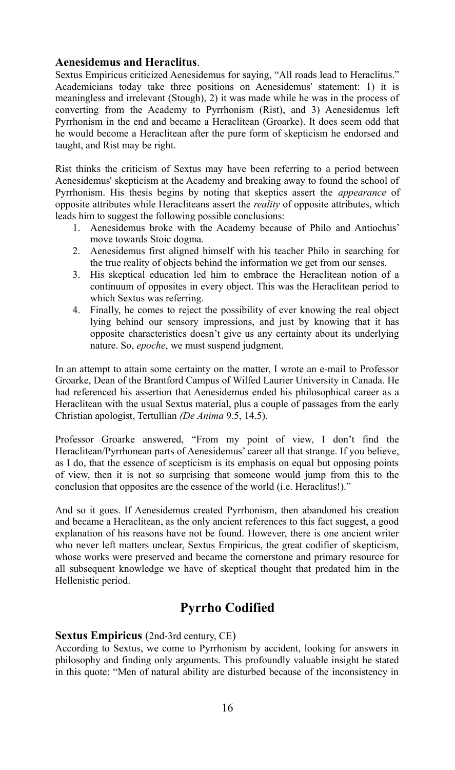#### **Aenesidemus and Heraclitus**.

Sextus Empiricus criticized Aenesidemus for saying, "All roads lead to Heraclitus." Academicians today take three positions on Aenesidemus' statement: 1) it is meaningless and irrelevant (Stough), 2) it was made while he was in the process of converting from the Academy to Pyrrhonism (Rist), and 3) Aenesidemus left Pyrrhonism in the end and became a Heraclitean (Groarke). It does seem odd that he would become a Heraclitean after the pure form of skepticism he endorsed and taught, and Rist may be right.

Rist thinks the criticism of Sextus may have been referring to a period between Aenesidemus' skepticism at the Academy and breaking away to found the school of Pyrrhonism. His thesis begins by noting that skeptics assert the *appearance* of opposite attributes while Heracliteans assert the *reality* of opposite attributes, which leads him to suggest the following possible conclusions:

- 1. Aenesidemus broke with the Academy because of Philo and Antiochus' move towards Stoic dogma.
- 2. Aenesidemus first aligned himself with his teacher Philo in searching for the true reality of objects behind the information we get from our senses.
- 3. His skeptical education led him to embrace the Heraclitean notion of a continuum of opposites in every object. This was the Heraclitean period to which Sextus was referring.
- 4. Finally, he comes to reject the possibility of ever knowing the real object lying behind our sensory impressions, and just by knowing that it has opposite characteristics doesn't give us any certainty about its underlying nature. So, *epoche*, we must suspend judgment.

In an attempt to attain some certainty on the matter, I wrote an e-mail to Professor Groarke, Dean of the Brantford Campus of Wilfed Laurier University in Canada. He had referenced his assertion that Aenesidemus ended his philosophical career as a Heraclitean with the usual Sextus material, plus a couple of passages from the early Christian apologist, Tertullian *(De Anima* 9.5, 14.5).

Professor Groarke answered, "From my point of view, I don't find the Heraclitean/Pyrrhonean parts of Aenesidemus' career all that strange. If you believe, as I do, that the essence of scepticism is its emphasis on equal but opposing points of view, then it is not so surprising that someone would jump from this to the conclusion that opposites are the essence of the world (i.e. Heraclitus!)."

And so it goes. If Aenesidemus created Pyrrhonism, then abandoned his creation and became a Heraclitean, as the only ancient references to this fact suggest, a good explanation of his reasons have not be found. However, there is one ancient writer who never left matters unclear, Sextus Empiricus, the great codifier of skepticism, whose works were preserved and became the cornerstone and primary resource for all subsequent knowledge we have of skeptical thought that predated him in the Hellenistic period.

# **Pyrrho Codified**

#### **Sextus Empiricus** (2nd-3rd century, CE)

According to Sextus, we come to Pyrrhonism by accident, looking for answers in philosophy and finding only arguments. This profoundly valuable insight he stated in this quote: "Men of natural ability are disturbed because of the inconsistency in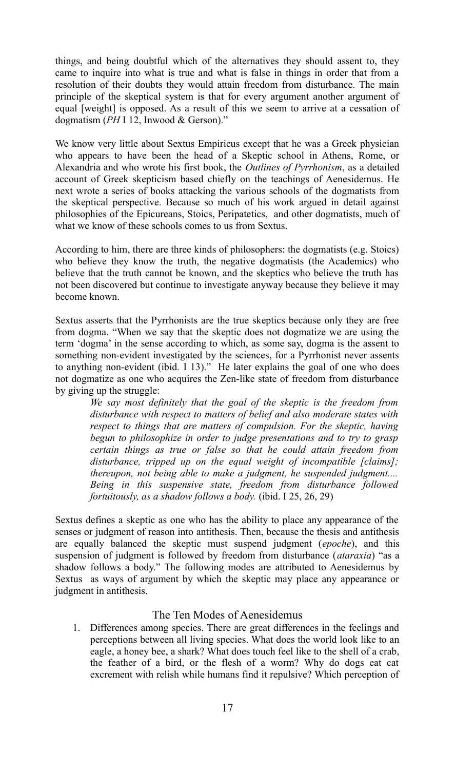things, and being doubtful which of the alternatives they should assent to, they came to inquire into what is true and what is false in things in order that from a resolution of their doubts they would attain freedom from disturbance. The main principle of the skeptical system is that for every argument another argument of equal [weight] is opposed. As a result of this we seem to arrive at a cessation of dogmatism (*PH* I 12, Inwood & Gerson)."

We know very little about Sextus Empiricus except that he was a Greek physician who appears to have been the head of a Skeptic school in Athens, Rome, or Alexandria and who wrote his first book, the *Outlines of Pyrrhonism*, as a detailed account of Greek skepticism based chiefly on the teachings of Aenesidemus. He next wrote a series of books attacking the various schools of the dogmatists from the skeptical perspective. Because so much of his work argued in detail against philosophies of the Epicureans, Stoics, Peripatetics, and other dogmatists, much of what we know of these schools comes to us from Sextus.

According to him, there are three kinds of philosophers: the dogmatists (e.g. Stoics) who believe they know the truth, the negative dogmatists (the Academics) who believe that the truth cannot be known, and the skeptics who believe the truth has not been discovered but continue to investigate anyway because they believe it may become known.

Sextus asserts that the Pyrrhonists are the true skeptics because only they are free from dogma. "When we say that the skeptic does not dogmatize we are using the term 'dogma' in the sense according to which, as some say, dogma is the assent to something non-evident investigated by the sciences, for a Pyrrhonist never assents to anything non-evident (ibid*.* I 13)." He later explains the goal of one who does not dogmatize as one who acquires the Zen-like state of freedom from disturbance by giving up the struggle:

*We say most definitely that the goal of the skeptic is the freedom from disturbance with respect to matters of belief and also moderate states with respect to things that are matters of compulsion. For the skeptic, having begun to philosophize in order to judge presentations and to try to grasp certain things as true or false so that he could attain freedom from disturbance, tripped up on the equal weight of incompatible [claims]; thereupon, not being able to make a judgment, he suspended judgment.... Being in this suspensive state, freedom from disturbance followed fortuitously, as a shadow follows a body.* (ibid. I 25, 26, 29)

Sextus defines a skeptic as one who has the ability to place any appearance of the senses or judgment of reason into antithesis. Then, because the thesis and antithesis are equally balanced the skeptic must suspend judgment (*epoche*), and this suspension of judgment is followed by freedom from disturbance (*ataraxia*) "as a shadow follows a body." The following modes are attributed to Aenesidemus by Sextus as ways of argument by which the skeptic may place any appearance or judgment in antithesis.

#### The Ten Modes of Aenesidemus

1. Differences among species. There are great differences in the feelings and perceptions between all living species. What does the world look like to an eagle, a honey bee, a shark? What does touch feel like to the shell of a crab, the feather of a bird, or the flesh of a worm? Why do dogs eat cat excrement with relish while humans find it repulsive? Which perception of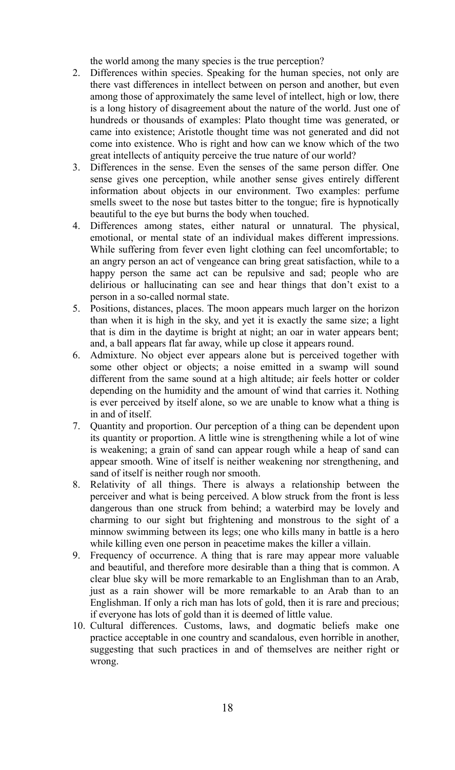the world among the many species is the true perception?

- 2. Differences within species. Speaking for the human species, not only are there vast differences in intellect between on person and another, but even among those of approximately the same level of intellect, high or low, there is a long history of disagreement about the nature of the world. Just one of hundreds or thousands of examples: Plato thought time was generated, or came into existence; Aristotle thought time was not generated and did not come into existence. Who is right and how can we know which of the two great intellects of antiquity perceive the true nature of our world?
- 3. Differences in the sense. Even the senses of the same person differ. One sense gives one perception, while another sense gives entirely different information about objects in our environment. Two examples: perfume smells sweet to the nose but tastes bitter to the tongue; fire is hypnotically beautiful to the eye but burns the body when touched.
- 4. Differences among states, either natural or unnatural. The physical, emotional, or mental state of an individual makes different impressions. While suffering from fever even light clothing can feel uncomfortable; to an angry person an act of vengeance can bring great satisfaction, while to a happy person the same act can be repulsive and sad; people who are delirious or hallucinating can see and hear things that don't exist to a person in a so-called normal state.
- 5. Positions, distances, places. The moon appears much larger on the horizon than when it is high in the sky, and yet it is exactly the same size; a light that is dim in the daytime is bright at night; an oar in water appears bent; and, a ball appears flat far away, while up close it appears round.
- 6. Admixture. No object ever appears alone but is perceived together with some other object or objects; a noise emitted in a swamp will sound different from the same sound at a high altitude; air feels hotter or colder depending on the humidity and the amount of wind that carries it. Nothing is ever perceived by itself alone, so we are unable to know what a thing is in and of itself.
- 7. Quantity and proportion. Our perception of a thing can be dependent upon its quantity or proportion. A little wine is strengthening while a lot of wine is weakening; a grain of sand can appear rough while a heap of sand can appear smooth. Wine of itself is neither weakening nor strengthening, and sand of itself is neither rough nor smooth.
- 8. Relativity of all things. There is always a relationship between the perceiver and what is being perceived. A blow struck from the front is less dangerous than one struck from behind; a waterbird may be lovely and charming to our sight but frightening and monstrous to the sight of a minnow swimming between its legs; one who kills many in battle is a hero while killing even one person in peacetime makes the killer a villain.
- 9. Frequency of occurrence. A thing that is rare may appear more valuable and beautiful, and therefore more desirable than a thing that is common. A clear blue sky will be more remarkable to an Englishman than to an Arab, just as a rain shower will be more remarkable to an Arab than to an Englishman. If only a rich man has lots of gold, then it is rare and precious; if everyone has lots of gold than it is deemed of little value.
- 10. Cultural differences. Customs, laws, and dogmatic beliefs make one practice acceptable in one country and scandalous, even horrible in another, suggesting that such practices in and of themselves are neither right or wrong.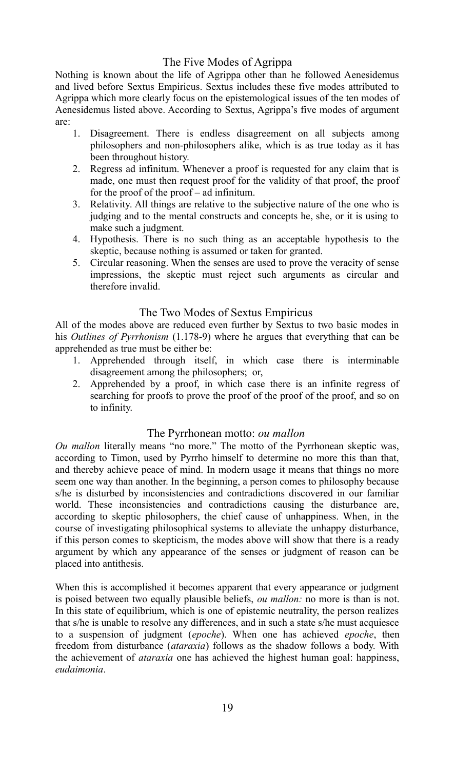#### The Five Modes of Agrippa

Nothing is known about the life of Agrippa other than he followed Aenesidemus and lived before Sextus Empiricus. Sextus includes these five modes attributed to Agrippa which more clearly focus on the epistemological issues of the ten modes of Aenesidemus listed above. According to Sextus, Agrippa's five modes of argument are:

- 1. Disagreement. There is endless disagreement on all subjects among philosophers and non-philosophers alike, which is as true today as it has been throughout history.
- 2. Regress ad infinitum. Whenever a proof is requested for any claim that is made, one must then request proof for the validity of that proof, the proof for the proof of the proof – ad infinitum.
- 3. Relativity. All things are relative to the subjective nature of the one who is judging and to the mental constructs and concepts he, she, or it is using to make such a judgment.
- 4. Hypothesis. There is no such thing as an acceptable hypothesis to the skeptic, because nothing is assumed or taken for granted.
- 5. Circular reasoning. When the senses are used to prove the veracity of sense impressions, the skeptic must reject such arguments as circular and therefore invalid.

#### The Two Modes of Sextus Empiricus

All of the modes above are reduced even further by Sextus to two basic modes in his *Outlines of Pyrrhonism* (1.178-9) where he argues that everything that can be apprehended as true must be either be:

- 1. Apprehended through itself, in which case there is interminable disagreement among the philosophers; or,
- 2. Apprehended by a proof, in which case there is an infinite regress of searching for proofs to prove the proof of the proof of the proof, and so on to infinity.

#### The Pyrrhonean motto: *ou mallon*

*Ou mallon* literally means "no more." The motto of the Pyrrhonean skeptic was, according to Timon, used by Pyrrho himself to determine no more this than that, and thereby achieve peace of mind. In modern usage it means that things no more seem one way than another. In the beginning, a person comes to philosophy because s/he is disturbed by inconsistencies and contradictions discovered in our familiar world. These inconsistencies and contradictions causing the disturbance are, according to skeptic philosophers, the chief cause of unhappiness. When, in the course of investigating philosophical systems to alleviate the unhappy disturbance, if this person comes to skepticism, the modes above will show that there is a ready argument by which any appearance of the senses or judgment of reason can be placed into antithesis.

When this is accomplished it becomes apparent that every appearance or judgment is poised between two equally plausible beliefs, *ou mallon:* no more is than is not. In this state of equilibrium, which is one of epistemic neutrality, the person realizes that s/he is unable to resolve any differences, and in such a state s/he must acquiesce to a suspension of judgment (*epoche*). When one has achieved *epoche*, then freedom from disturbance (*ataraxia*) follows as the shadow follows a body. With the achievement of *ataraxia* one has achieved the highest human goal: happiness, *eudaimonia*.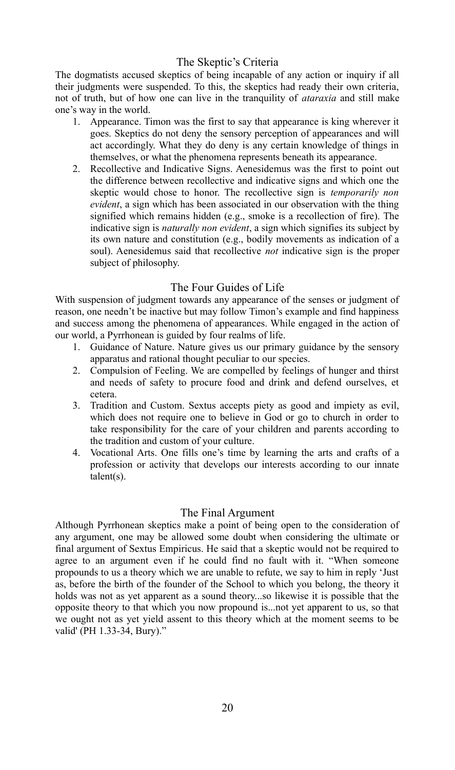#### The Skeptic's Criteria

The dogmatists accused skeptics of being incapable of any action or inquiry if all their judgments were suspended. To this, the skeptics had ready their own criteria, not of truth, but of how one can live in the tranquility of *ataraxia* and still make one's way in the world.

- 1. Appearance. Timon was the first to say that appearance is king wherever it goes. Skeptics do not deny the sensory perception of appearances and will act accordingly. What they do deny is any certain knowledge of things in themselves, or what the phenomena represents beneath its appearance.
- 2. Recollective and Indicative Signs. Aenesidemus was the first to point out the difference between recollective and indicative signs and which one the skeptic would chose to honor. The recollective sign is *temporarily non evident*, a sign which has been associated in our observation with the thing signified which remains hidden (e.g., smoke is a recollection of fire). The indicative sign is *naturally non evident*, a sign which signifies its subject by its own nature and constitution (e.g., bodily movements as indication of a soul). Aenesidemus said that recollective *not* indicative sign is the proper subject of philosophy.

#### The Four Guides of Life

With suspension of judgment towards any appearance of the senses or judgment of reason, one needn't be inactive but may follow Timon's example and find happiness and success among the phenomena of appearances. While engaged in the action of our world, a Pyrrhonean is guided by four realms of life.

- 1. Guidance of Nature. Nature gives us our primary guidance by the sensory apparatus and rational thought peculiar to our species.
- 2. Compulsion of Feeling. We are compelled by feelings of hunger and thirst and needs of safety to procure food and drink and defend ourselves, et cetera.
- 3. Tradition and Custom. Sextus accepts piety as good and impiety as evil, which does not require one to believe in God or go to church in order to take responsibility for the care of your children and parents according to the tradition and custom of your culture.
- 4. Vocational Arts. One fills one's time by learning the arts and crafts of a profession or activity that develops our interests according to our innate talent(s).

#### The Final Argument

Although Pyrrhonean skeptics make a point of being open to the consideration of any argument, one may be allowed some doubt when considering the ultimate or final argument of Sextus Empiricus. He said that a skeptic would not be required to agree to an argument even if he could find no fault with it. "When someone propounds to us a theory which we are unable to refute, we say to him in reply 'Just as, before the birth of the founder of the School to which you belong, the theory it holds was not as yet apparent as a sound theory...so likewise it is possible that the opposite theory to that which you now propound is...not yet apparent to us, so that we ought not as yet yield assent to this theory which at the moment seems to be valid' (PH 1.33-34, Bury)."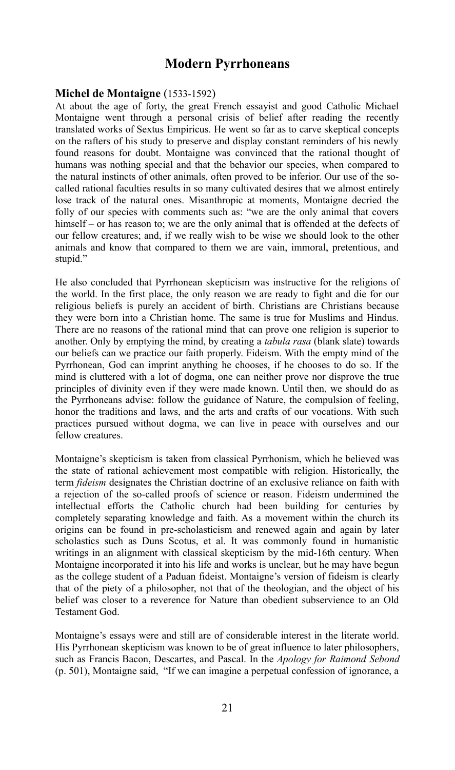### **Modern Pyrrhoneans**

#### **Michel de Montaigne** (1533-1592)

At about the age of forty, the great French essayist and good Catholic Michael Montaigne went through a personal crisis of belief after reading the recently translated works of Sextus Empiricus. He went so far as to carve skeptical concepts on the rafters of his study to preserve and display constant reminders of his newly found reasons for doubt. Montaigne was convinced that the rational thought of humans was nothing special and that the behavior our species, when compared to the natural instincts of other animals, often proved to be inferior. Our use of the socalled rational faculties results in so many cultivated desires that we almost entirely lose track of the natural ones. Misanthropic at moments, Montaigne decried the folly of our species with comments such as: "we are the only animal that covers himself – or has reason to; we are the only animal that is offended at the defects of our fellow creatures; and, if we really wish to be wise we should look to the other animals and know that compared to them we are vain, immoral, pretentious, and stupid."

He also concluded that Pyrrhonean skepticism was instructive for the religions of the world. In the first place, the only reason we are ready to fight and die for our religious beliefs is purely an accident of birth. Christians are Christians because they were born into a Christian home. The same is true for Muslims and Hindus. There are no reasons of the rational mind that can prove one religion is superior to another. Only by emptying the mind, by creating a *tabula rasa* (blank slate) towards our beliefs can we practice our faith properly. Fideism. With the empty mind of the Pyrrhonean, God can imprint anything he chooses, if he chooses to do so. If the mind is cluttered with a lot of dogma, one can neither prove nor disprove the true principles of divinity even if they were made known. Until then, we should do as the Pyrrhoneans advise: follow the guidance of Nature, the compulsion of feeling, honor the traditions and laws, and the arts and crafts of our vocations. With such practices pursued without dogma, we can live in peace with ourselves and our fellow creatures.

Montaigne's skepticism is taken from classical Pyrrhonism, which he believed was the state of rational achievement most compatible with religion. Historically, the term *fideism* designates the Christian doctrine of an exclusive reliance on faith with a rejection of the so-called proofs of science or reason. Fideism undermined the intellectual efforts the Catholic church had been building for centuries by completely separating knowledge and faith. As a movement within the church its origins can be found in pre-scholasticism and renewed again and again by later scholastics such as Duns Scotus, et al. It was commonly found in humanistic writings in an alignment with classical skepticism by the mid-16th century. When Montaigne incorporated it into his life and works is unclear, but he may have begun as the college student of a Paduan fideist. Montaigne's version of fideism is clearly that of the piety of a philosopher, not that of the theologian, and the object of his belief was closer to a reverence for Nature than obedient subservience to an Old Testament God.

Montaigne's essays were and still are of considerable interest in the literate world. His Pyrrhonean skepticism was known to be of great influence to later philosophers, such as Francis Bacon, Descartes, and Pascal. In the *Apology for Raimond Sebond* (p. 501), Montaigne said, "If we can imagine a perpetual confession of ignorance, a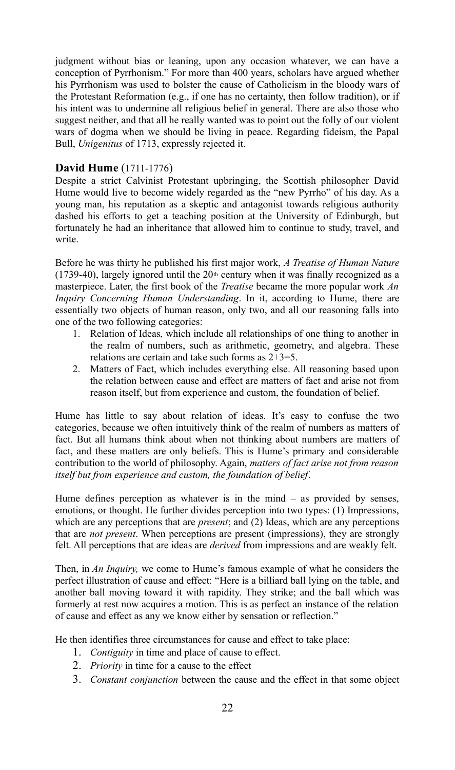judgment without bias or leaning, upon any occasion whatever, we can have a conception of Pyrrhonism." For more than 400 years, scholars have argued whether his Pyrrhonism was used to bolster the cause of Catholicism in the bloody wars of the Protestant Reformation (e.g., if one has no certainty, then follow tradition), or if his intent was to undermine all religious belief in general. There are also those who suggest neither, and that all he really wanted was to point out the folly of our violent wars of dogma when we should be living in peace. Regarding fideism, the Papal Bull, *Unigenitus* of 1713, expressly rejected it.

#### **David Hume** (1711-1776)

Despite a strict Calvinist Protestant upbringing, the Scottish philosopher David Hume would live to become widely regarded as the "new Pyrrho" of his day. As a young man, his reputation as a skeptic and antagonist towards religious authority dashed his efforts to get a teaching position at the University of Edinburgh, but fortunately he had an inheritance that allowed him to continue to study, travel, and write.

Before he was thirty he published his first major work, *A Treatise of Human Nature*  $(1739-40)$ , largely ignored until the  $20<sup>th</sup>$  century when it was finally recognized as a masterpiece. Later, the first book of the *Treatise* became the more popular work *An Inquiry Concerning Human Understanding*. In it, according to Hume, there are essentially two objects of human reason, only two, and all our reasoning falls into one of the two following categories:

- 1. Relation of Ideas, which include all relationships of one thing to another in the realm of numbers, such as arithmetic, geometry, and algebra. These relations are certain and take such forms as 2+3=5.
- 2. Matters of Fact, which includes everything else. All reasoning based upon the relation between cause and effect are matters of fact and arise not from reason itself, but from experience and custom, the foundation of belief.

Hume has little to say about relation of ideas. It's easy to confuse the two categories, because we often intuitively think of the realm of numbers as matters of fact. But all humans think about when not thinking about numbers are matters of fact, and these matters are only beliefs. This is Hume's primary and considerable contribution to the world of philosophy. Again, *matters of fact arise not from reason itself but from experience and custom, the foundation of belief*.

Hume defines perception as whatever is in the mind  $-$  as provided by senses, emotions, or thought. He further divides perception into two types: (1) Impressions, which are any perceptions that are *present*; and (2) Ideas, which are any perceptions that are *not present*. When perceptions are present (impressions), they are strongly felt. All perceptions that are ideas are *derived* from impressions and are weakly felt.

Then, in *An Inquiry,* we come to Hume's famous example of what he considers the perfect illustration of cause and effect: "Here is a billiard ball lying on the table, and another ball moving toward it with rapidity. They strike; and the ball which was formerly at rest now acquires a motion. This is as perfect an instance of the relation of cause and effect as any we know either by sensation or reflection."

He then identifies three circumstances for cause and effect to take place:

- 1. *Contiguity* in time and place of cause to effect.
- 2. *Priority* in time for a cause to the effect
- 3. *Constant conjunction* between the cause and the effect in that some object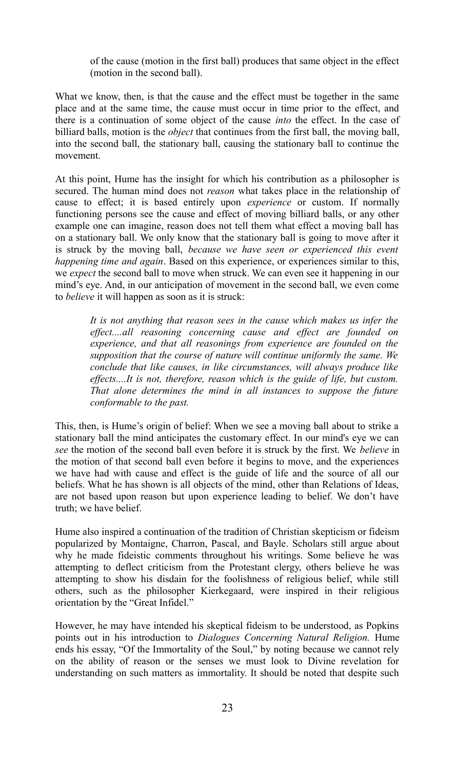of the cause (motion in the first ball) produces that same object in the effect (motion in the second ball).

What we know, then, is that the cause and the effect must be together in the same place and at the same time, the cause must occur in time prior to the effect, and there is a continuation of some object of the cause *into* the effect. In the case of billiard balls, motion is the *object* that continues from the first ball, the moving ball, into the second ball, the stationary ball, causing the stationary ball to continue the movement.

At this point, Hume has the insight for which his contribution as a philosopher is secured. The human mind does not *reason* what takes place in the relationship of cause to effect; it is based entirely upon *experience* or custom. If normally functioning persons see the cause and effect of moving billiard balls, or any other example one can imagine, reason does not tell them what effect a moving ball has on a stationary ball. We only know that the stationary ball is going to move after it is struck by the moving ball, *because we have seen or experienced this event happening time and again*. Based on this experience, or experiences similar to this, we *expect* the second ball to move when struck. We can even see it happening in our mind's eye. And, in our anticipation of movement in the second ball, we even come to *believe* it will happen as soon as it is struck:

> *It is not anything that reason sees in the cause which makes us infer the effect....all reasoning concerning cause and effect are founded on experience, and that all reasonings from experience are founded on the supposition that the course of nature will continue uniformly the same. We conclude that like causes, in like circumstances, will always produce like effects....It is not, therefore, reason which is the guide of life, but custom. That alone determines the mind in all instances to suppose the future conformable to the past.*

This, then, is Hume's origin of belief: When we see a moving ball about to strike a stationary ball the mind anticipates the customary effect. In our mind's eye we can *see* the motion of the second ball even before it is struck by the first. We *believe* in the motion of that second ball even before it begins to move, and the experiences we have had with cause and effect is the guide of life and the source of all our beliefs. What he has shown is all objects of the mind, other than Relations of Ideas, are not based upon reason but upon experience leading to belief. We don't have truth; we have belief.

Hume also inspired a continuation of the tradition of Christian skepticism or fideism popularized by Montaigne, Charron, Pascal, and Bayle. Scholars still argue about why he made fideistic comments throughout his writings. Some believe he was attempting to deflect criticism from the Protestant clergy, others believe he was attempting to show his disdain for the foolishness of religious belief, while still others, such as the philosopher Kierkegaard, were inspired in their religious orientation by the "Great Infidel."

However, he may have intended his skeptical fideism to be understood, as Popkins points out in his introduction to *Dialogues Concerning Natural Religion.* Hume ends his essay, "Of the Immortality of the Soul," by noting because we cannot rely on the ability of reason or the senses we must look to Divine revelation for understanding on such matters as immortality. It should be noted that despite such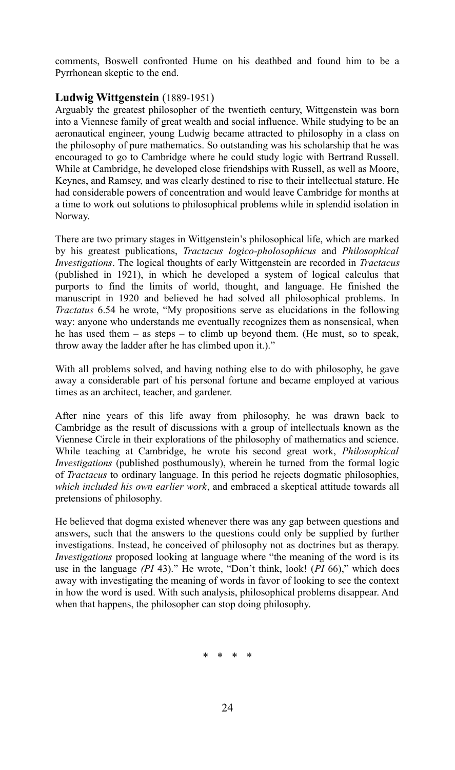comments, Boswell confronted Hume on his deathbed and found him to be a Pyrrhonean skeptic to the end.

#### **Ludwig Wittgenstein** (1889-1951)

Arguably the greatest philosopher of the twentieth century, Wittgenstein was born into a Viennese family of great wealth and social influence. While studying to be an aeronautical engineer, young Ludwig became attracted to philosophy in a class on the philosophy of pure mathematics. So outstanding was his scholarship that he was encouraged to go to Cambridge where he could study logic with Bertrand Russell. While at Cambridge, he developed close friendships with Russell, as well as Moore, Keynes, and Ramsey, and was clearly destined to rise to their intellectual stature. He had considerable powers of concentration and would leave Cambridge for months at a time to work out solutions to philosophical problems while in splendid isolation in Norway.

There are two primary stages in Wittgenstein's philosophical life, which are marked by his greatest publications, *Tractacus logico-pholosophicus* and *Philosophical Investigations*. The logical thoughts of early Wittgenstein are recorded in *Tractacus* (published in 1921), in which he developed a system of logical calculus that purports to find the limits of world, thought, and language. He finished the manuscript in 1920 and believed he had solved all philosophical problems. In *Tractatus* 6.54 he wrote, "My propositions serve as elucidations in the following way: anyone who understands me eventually recognizes them as nonsensical, when he has used them – as steps – to climb up beyond them. (He must, so to speak, throw away the ladder after he has climbed upon it.)."

With all problems solved, and having nothing else to do with philosophy, he gave away a considerable part of his personal fortune and became employed at various times as an architect, teacher, and gardener.

After nine years of this life away from philosophy, he was drawn back to Cambridge as the result of discussions with a group of intellectuals known as the Viennese Circle in their explorations of the philosophy of mathematics and science. While teaching at Cambridge, he wrote his second great work, *Philosophical Investigations* (published posthumously), wherein he turned from the formal logic of *Tractacus* to ordinary language. In this period he rejects dogmatic philosophies, *which included his own earlier work*, and embraced a skeptical attitude towards all pretensions of philosophy.

He believed that dogma existed whenever there was any gap between questions and answers, such that the answers to the questions could only be supplied by further investigations. Instead, he conceived of philosophy not as doctrines but as therapy. *Investigations* proposed looking at language where "the meaning of the word is its use in the language *(PI* 43)." He wrote, "Don't think, look! (*PI* 66)," which does away with investigating the meaning of words in favor of looking to see the context in how the word is used. With such analysis, philosophical problems disappear. And when that happens, the philosopher can stop doing philosophy.

\* \* \* \*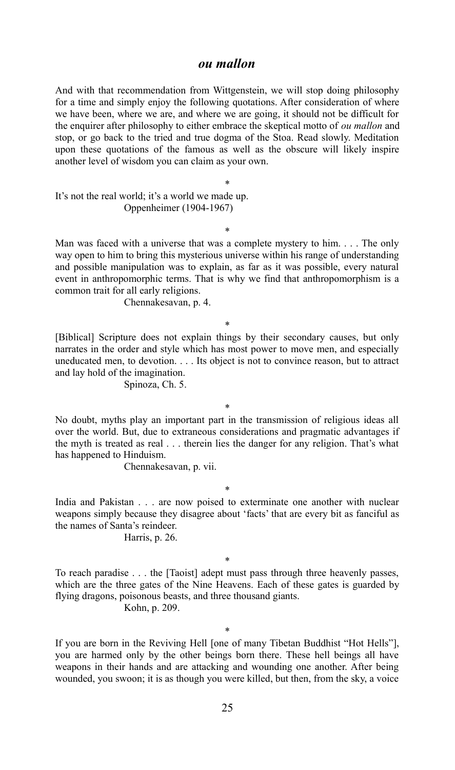#### *ou mallon*

And with that recommendation from Wittgenstein, we will stop doing philosophy for a time and simply enjoy the following quotations. After consideration of where we have been, where we are, and where we are going, it should not be difficult for the enquirer after philosophy to either embrace the skeptical motto of *ou mallon* and stop, or go back to the tried and true dogma of the Stoa. Read slowly. Meditation upon these quotations of the famous as well as the obscure will likely inspire another level of wisdom you can claim as your own.

It's not the real world; it's a world we made up. Oppenheimer (1904-1967)

\*

\*

Man was faced with a universe that was a complete mystery to him. . . . The only way open to him to bring this mysterious universe within his range of understanding and possible manipulation was to explain, as far as it was possible, every natural event in anthropomorphic terms. That is why we find that anthropomorphism is a common trait for all early religions.

Chennakesavan, p. 4.

\* [Biblical] Scripture does not explain things by their secondary causes, but only narrates in the order and style which has most power to move men, and especially uneducated men, to devotion. . . . Its object is not to convince reason, but to attract and lay hold of the imagination.

Spinoza, Ch. 5.

\*

No doubt, myths play an important part in the transmission of religious ideas all over the world. But, due to extraneous considerations and pragmatic advantages if the myth is treated as real . . . therein lies the danger for any religion. That's what has happened to Hinduism.

Chennakesavan, p. vii.

\*

India and Pakistan . . . are now poised to exterminate one another with nuclear weapons simply because they disagree about 'facts' that are every bit as fanciful as the names of Santa's reindeer.

Harris, p. 26.

\*

To reach paradise . . . the [Taoist] adept must pass through three heavenly passes, which are the three gates of the Nine Heavens. Each of these gates is guarded by flying dragons, poisonous beasts, and three thousand giants.

Kohn, p. 209.

\*

If you are born in the Reviving Hell [one of many Tibetan Buddhist "Hot Hells"], you are harmed only by the other beings born there. These hell beings all have weapons in their hands and are attacking and wounding one another. After being wounded, you swoon; it is as though you were killed, but then, from the sky, a voice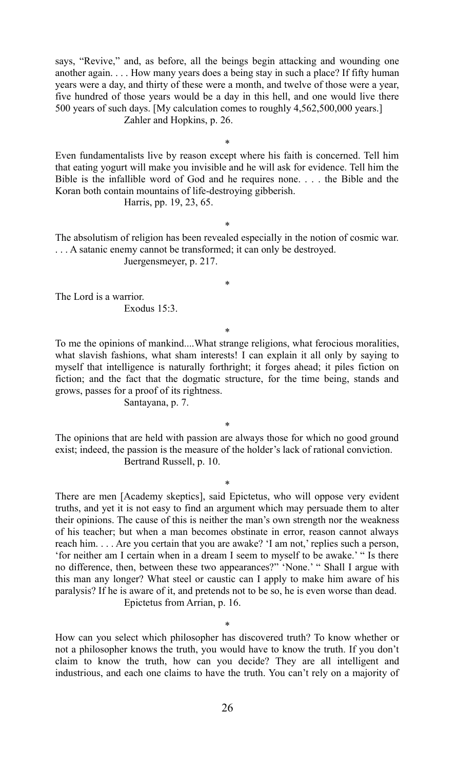says, "Revive," and, as before, all the beings begin attacking and wounding one another again. . . . How many years does a being stay in such a place? If fifty human years were a day, and thirty of these were a month, and twelve of those were a year, five hundred of those years would be a day in this hell, and one would live there 500 years of such days. [My calculation comes to roughly 4,562,500,000 years.] Zahler and Hopkins, p. 26.

\*

Even fundamentalists live by reason except where his faith is concerned. Tell him that eating yogurt will make you invisible and he will ask for evidence. Tell him the Bible is the infallible word of God and he requires none. . . . the Bible and the Koran both contain mountains of life-destroying gibberish.

Harris, pp. 19, 23, 65.

\*

The absolutism of religion has been revealed especially in the notion of cosmic war. . . . A satanic enemy cannot be transformed; it can only be destroyed.

\*

Juergensmeyer, p. 217.

The Lord is a warrior. Exodus 15:3.

\*

To me the opinions of mankind....What strange religions, what ferocious moralities, what slavish fashions, what sham interests! I can explain it all only by saying to myself that intelligence is naturally forthright; it forges ahead; it piles fiction on fiction; and the fact that the dogmatic structure, for the time being, stands and grows, passes for a proof of its rightness.

Santayana, p. 7.

\*

The opinions that are held with passion are always those for which no good ground exist; indeed, the passion is the measure of the holder's lack of rational conviction. Bertrand Russell, p. 10.

\*

There are men [Academy skeptics], said Epictetus, who will oppose very evident truths, and yet it is not easy to find an argument which may persuade them to alter their opinions. The cause of this is neither the man's own strength nor the weakness of his teacher; but when a man becomes obstinate in error, reason cannot always reach him. . . . Are you certain that you are awake? 'I am not,' replies such a person, 'for neither am I certain when in a dream I seem to myself to be awake.' " Is there no difference, then, between these two appearances?" 'None.' " Shall I argue with this man any longer? What steel or caustic can I apply to make him aware of his paralysis? If he is aware of it, and pretends not to be so, he is even worse than dead. Epictetus from Arrian, p. 16.

\*

How can you select which philosopher has discovered truth? To know whether or not a philosopher knows the truth, you would have to know the truth. If you don't claim to know the truth, how can you decide? They are all intelligent and industrious, and each one claims to have the truth. You can't rely on a majority of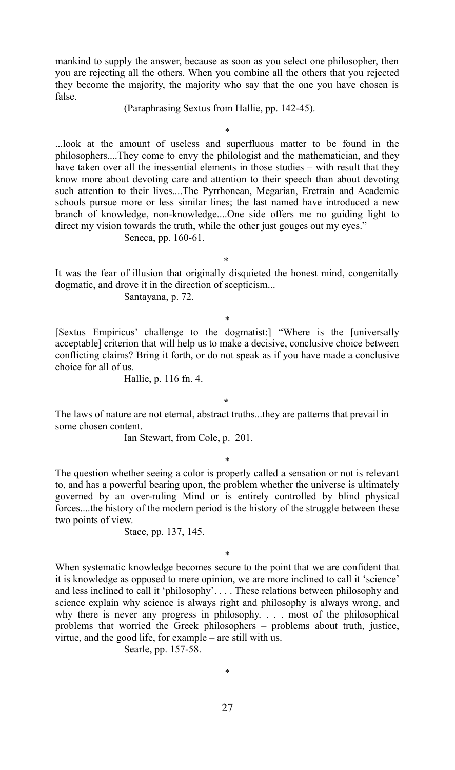mankind to supply the answer, because as soon as you select one philosopher, then you are rejecting all the others. When you combine all the others that you rejected they become the majority, the majority who say that the one you have chosen is false.

(Paraphrasing Sextus from Hallie, pp. 142-45).

\*

...look at the amount of useless and superfluous matter to be found in the philosophers....They come to envy the philologist and the mathematician, and they have taken over all the inessential elements in those studies – with result that they know more about devoting care and attention to their speech than about devoting such attention to their lives....The Pyrrhonean, Megarian, Eretrain and Academic schools pursue more or less similar lines; the last named have introduced a new branch of knowledge, non-knowledge....One side offers me no guiding light to direct my vision towards the truth, while the other just gouges out my eyes."

Seneca, pp. 160-61.

\*

It was the fear of illusion that originally disquieted the honest mind, congenitally dogmatic, and drove it in the direction of scepticism...

Santayana, p. 72.

\*

[Sextus Empiricus' challenge to the dogmatist:] "Where is the [universally acceptable] criterion that will help us to make a decisive, conclusive choice between conflicting claims? Bring it forth, or do not speak as if you have made a conclusive choice for all of us.

Hallie, p. 116 fn. 4.

**\*** 

The laws of nature are not eternal, abstract truths...they are patterns that prevail in some chosen content.

Ian Stewart, from Cole, p. 201.

\*

The question whether seeing a color is properly called a sensation or not is relevant to, and has a powerful bearing upon, the problem whether the universe is ultimately governed by an over-ruling Mind or is entirely controlled by blind physical forces....the history of the modern period is the history of the struggle between these two points of view.

Stace, pp. 137, 145.

\*

When systematic knowledge becomes secure to the point that we are confident that it is knowledge as opposed to mere opinion, we are more inclined to call it 'science' and less inclined to call it 'philosophy'. . . . These relations between philosophy and science explain why science is always right and philosophy is always wrong, and why there is never any progress in philosophy. . . . most of the philosophical problems that worried the Greek philosophers – problems about truth, justice, virtue, and the good life, for example – are still with us.

Searle, pp. 157-58.

27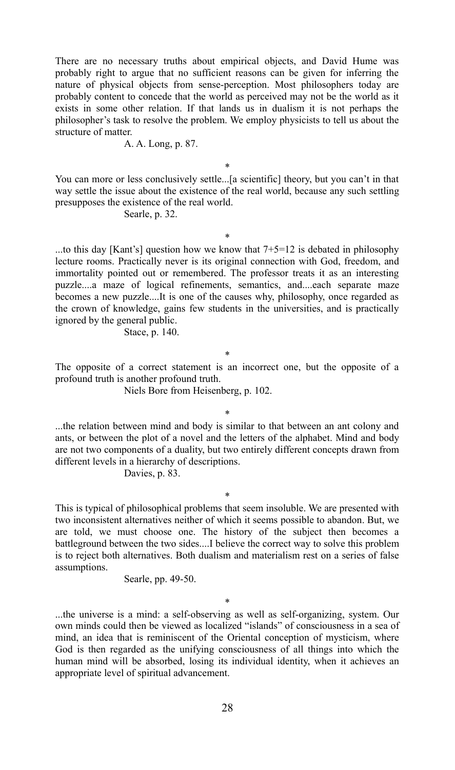There are no necessary truths about empirical objects, and David Hume was probably right to argue that no sufficient reasons can be given for inferring the nature of physical objects from sense-perception. Most philosophers today are probably content to concede that the world as perceived may not be the world as it exists in some other relation. If that lands us in dualism it is not perhaps the philosopher's task to resolve the problem. We employ physicists to tell us about the structure of matter.

A. A. Long, p. 87.

\*

You can more or less conclusively settle...[a scientific] theory, but you can't in that way settle the issue about the existence of the real world, because any such settling presupposes the existence of the real world.

Searle, p. 32.

\*

...to this day [Kant's] question how we know that  $7+5=12$  is debated in philosophy lecture rooms. Practically never is its original connection with God, freedom, and immortality pointed out or remembered. The professor treats it as an interesting puzzle....a maze of logical refinements, semantics, and....each separate maze becomes a new puzzle....It is one of the causes why, philosophy, once regarded as the crown of knowledge, gains few students in the universities, and is practically ignored by the general public.

Stace, p. 140.

\*

The opposite of a correct statement is an incorrect one, but the opposite of a profound truth is another profound truth.

Niels Bore from Heisenberg, p. 102.

\*

...the relation between mind and body is similar to that between an ant colony and ants, or between the plot of a novel and the letters of the alphabet. Mind and body are not two components of a duality, but two entirely different concepts drawn from different levels in a hierarchy of descriptions.

Davies, p. 83.

\*

This is typical of philosophical problems that seem insoluble. We are presented with two inconsistent alternatives neither of which it seems possible to abandon. But, we are told, we must choose one. The history of the subject then becomes a battleground between the two sides....I believe the correct way to solve this problem is to reject both alternatives. Both dualism and materialism rest on a series of false assumptions.

Searle, pp. 49-50.

\*

...the universe is a mind: a self-observing as well as self-organizing, system. Our own minds could then be viewed as localized "islands" of consciousness in a sea of mind, an idea that is reminiscent of the Oriental conception of mysticism, where God is then regarded as the unifying consciousness of all things into which the human mind will be absorbed, losing its individual identity, when it achieves an appropriate level of spiritual advancement.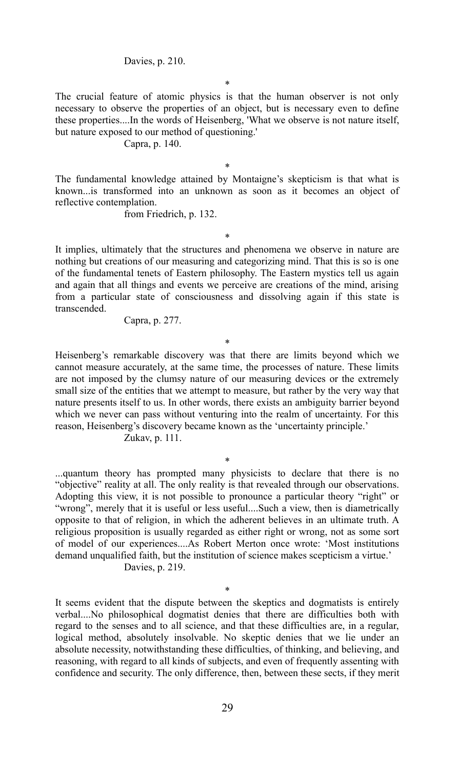Davies, p. 210.

\*

The crucial feature of atomic physics is that the human observer is not only necessary to observe the properties of an object, but is necessary even to define these properties....In the words of Heisenberg, 'What we observe is not nature itself, but nature exposed to our method of questioning.'

Capra, p. 140.

\*

The fundamental knowledge attained by Montaigne's skepticism is that what is known...is transformed into an unknown as soon as it becomes an object of reflective contemplation.

from Friedrich, p. 132.

\*

It implies, ultimately that the structures and phenomena we observe in nature are nothing but creations of our measuring and categorizing mind. That this is so is one of the fundamental tenets of Eastern philosophy. The Eastern mystics tell us again and again that all things and events we perceive are creations of the mind, arising from a particular state of consciousness and dissolving again if this state is transcended.

Capra, p. 277.

\*

Heisenberg's remarkable discovery was that there are limits beyond which we cannot measure accurately, at the same time, the processes of nature. These limits are not imposed by the clumsy nature of our measuring devices or the extremely small size of the entities that we attempt to measure, but rather by the very way that nature presents itself to us. In other words, there exists an ambiguity barrier beyond which we never can pass without venturing into the realm of uncertainty. For this reason, Heisenberg's discovery became known as the 'uncertainty principle.'

Zukav, p. 111.

\* ...quantum theory has prompted many physicists to declare that there is no "objective" reality at all. The only reality is that revealed through our observations. Adopting this view, it is not possible to pronounce a particular theory "right" or "wrong", merely that it is useful or less useful....Such a view, then is diametrically opposite to that of religion, in which the adherent believes in an ultimate truth. A religious proposition is usually regarded as either right or wrong, not as some sort of model of our experiences....As Robert Merton once wrote: 'Most institutions demand unqualified faith, but the institution of science makes scepticism a virtue.' Davies, p. 219.

\*

It seems evident that the dispute between the skeptics and dogmatists is entirely verbal....No philosophical dogmatist denies that there are difficulties both with regard to the senses and to all science, and that these difficulties are, in a regular, logical method, absolutely insolvable. No skeptic denies that we lie under an absolute necessity, notwithstanding these difficulties, of thinking, and believing, and reasoning, with regard to all kinds of subjects, and even of frequently assenting with confidence and security. The only difference, then, between these sects, if they merit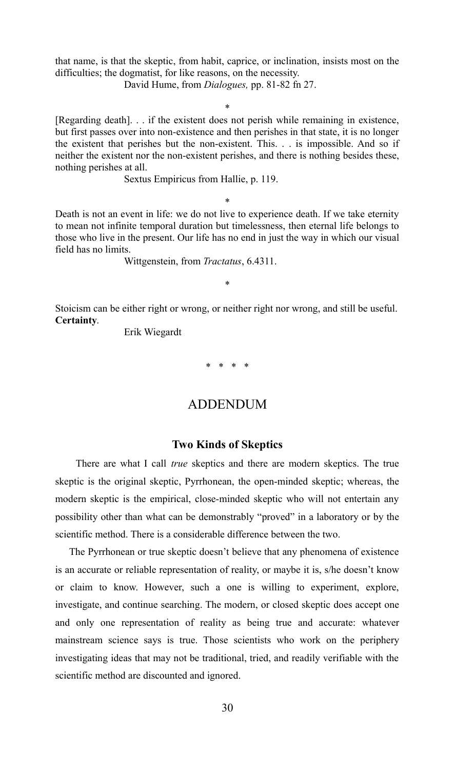that name, is that the skeptic, from habit, caprice, or inclination, insists most on the difficulties; the dogmatist, for like reasons, on the necessity.

David Hume, from *Dialogues,* pp. 81-82 fn 27.

\*

[Regarding death]. . . if the existent does not perish while remaining in existence, but first passes over into non-existence and then perishes in that state, it is no longer the existent that perishes but the non-existent. This. . . is impossible. And so if neither the existent nor the non-existent perishes, and there is nothing besides these, nothing perishes at all.

Sextus Empiricus from Hallie, p. 119.

Death is not an event in life: we do not live to experience death. If we take eternity to mean not infinite temporal duration but timelessness, then eternal life belongs to those who live in the present. Our life has no end in just the way in which our visual field has no limits.

\*

Wittgenstein, from *Tractatus*, 6.4311.

\*

Stoicism can be either right or wrong, or neither right nor wrong, and still be useful. **Certainty**.

Erik Wiegardt

\* \* \* \*

#### ADDENDUM

#### **Two Kinds of Skeptics**

 There are what I call *true* skeptics and there are modern skeptics. The true skeptic is the original skeptic, Pyrrhonean, the open-minded skeptic; whereas, the modern skeptic is the empirical, close-minded skeptic who will not entertain any possibility other than what can be demonstrably "proved" in a laboratory or by the scientific method. There is a considerable difference between the two.

 The Pyrrhonean or true skeptic doesn't believe that any phenomena of existence is an accurate or reliable representation of reality, or maybe it is, s/he doesn't know or claim to know. However, such a one is willing to experiment, explore, investigate, and continue searching. The modern, or closed skeptic does accept one and only one representation of reality as being true and accurate: whatever mainstream science says is true. Those scientists who work on the periphery investigating ideas that may not be traditional, tried, and readily verifiable with the scientific method are discounted and ignored.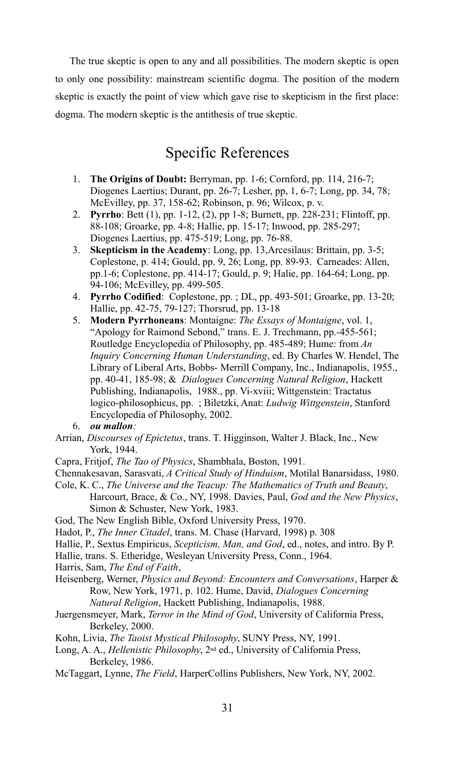The true skeptic is open to any and all possibilities. The modern skeptic is open to only one possibility: mainstream scientific dogma. The position of the modern skeptic is exactly the point of view which gave rise to skepticism in the first place: dogma. The modern skeptic is the antithesis of true skeptic.

# Specific References

- 1. **The Origins of Doubt:** Berryman, pp. 1-6; Cornford, pp. 114, 216-7; Diogenes Laertius; Durant, pp. 26-7; Lesher, pp, 1, 6-7; Long, pp. 34, 78; McEvilley, pp. 37, 158-62; Robinson, p. 96; Wilcox, p. v.
- 2. **Pyrrho**: Bett (1), pp. 1-12, (2), pp 1-8; Burnett, pp. 228-231; Flintoff, pp. 88-108; Groarke, pp. 4-8; Hallie, pp. 15-17; Inwood, pp. 285-297; Diogenes Laertius, pp. 475-519; Long, pp. 76-88.
- 3. **Skepticism in the Academy**: Long, pp. 13,Arcesilaus: Brittain, pp. 3-5; Coplestone, p. 414; Gould, pp. 9, 26; Long, pp. 89-93. Carneades: Allen, pp.1-6; Coplestone, pp. 414-17; Gould, p. 9; Halie, pp. 164-64; Long, pp. 94-106; McEvilley, pp. 499-505.
- 4. **Pyrrho Codified**: Coplestone, pp. ; DL, pp. 493-501; Groarke, pp. 13-20; Hallie, pp. 42-75, 79-127; Thorsrud, pp. 13-18
- 5. **Modern Pyrrhoneans**: Montaigne: *The Essays of Montaigne*, vol. 1, "Apology for Raimond Sebond," trans. E. J. Trechmann, pp.-455-561; Routledge Encyclopedia of Philosophy, pp. 485-489; Hume: from *An Inquiry Concerning Human Understanding*, ed. By Charles W. Hendel, The Library of Liberal Arts, Bobbs- Merrill Company, Inc., Indianapolis, 1955., pp. 40-41, 185-98; & *Dialogues Concerning Natural Religion*, Hackett Publishing, Indianapolis, 1988., pp. Vi-xviii; Wittgenstein: Tractatus logico-philosophicus, pp. ; Biletzki, Anat: *Ludwig Wittgenstein*, Stanford Encyclopedia of Philosophy, 2002.
- 6. *ou mallon:*

Capra, Fritjof, *The Tao of Physics*, Shambhala, Boston, 1991.

Chennakesavan, Sarasvati, *A Critical Study of Hinduism*, Motilal Banarsidass, 1980.

- Cole, K. C., *The Universe and the Teacup: The Mathematics of Truth and Beauty*, Harcourt, Brace, & Co., NY, 1998. Davies, Paul, *God and the New Physics*, Simon & Schuster, New York, 1983.
- God, The New English Bible, Oxford University Press, 1970.
- Hadot, P., *The Inner Citadel*, trans. M. Chase (Harvard, 1998) p. 308
- Hallie, P., Sextus Empiricus, *Scepticism, Man, and God*, ed., notes, and intro. By P.
- Hallie, trans. S. Etheridge, Wesleyan University Press, Conn., 1964.
- Harris, Sam, *The End of Faith*,
- Heisenberg, Werner, *Physics and Beyond: Encounters and Conversations*, Harper & Row, New York, 1971, p. 102. Hume, David, *Dialogues Concerning Natural Religion*, Hackett Publishing, Indianapolis, 1988.
- Juergensmeyer, Mark, *Terror in the Mind of God*, University of California Press, Berkeley, 2000.
- Kohn, Livia, *The Taoist Mystical Philosophy*, SUNY Press, NY, 1991.
- Long, A. A., *Hellenistic Philosophy*, 2nd ed., University of California Press, Berkeley, 1986.
- McTaggart, Lynne, *The Field*, HarperCollins Publishers, New York, NY, 2002.

Arrian, *Discourses of Epictetus*, trans. T. Higginson, Walter J. Black, Inc., New York, 1944.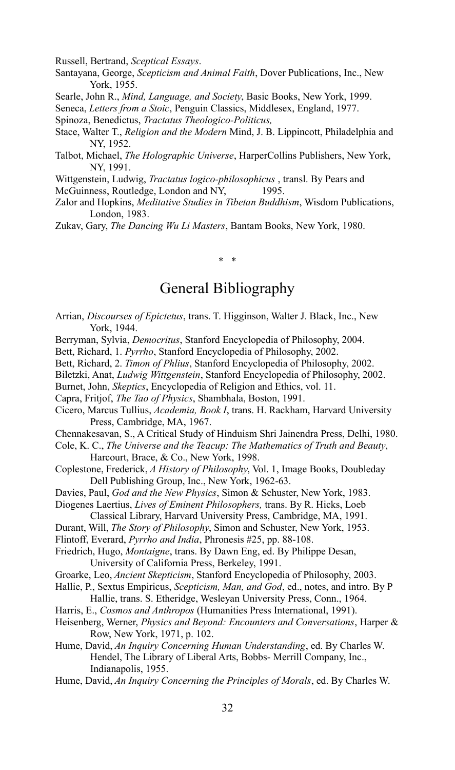Russell, Bertrand, *Sceptical Essays*.

- Santayana, George, *Scepticism and Animal Faith*, Dover Publications, Inc., New York, 1955.
- Searle, John R., *Mind, Language, and Society*, Basic Books, New York, 1999.
- Seneca, *Letters from a Stoic*, Penguin Classics, Middlesex, England, 1977.
- Spinoza, Benedictus, *Tractatus Theologico-Politicus,*
- Stace, Walter T., *Religion and the Modern* Mind, J. B. Lippincott, Philadelphia and NY, 1952.
- Talbot, Michael, *The Holographic Universe*, HarperCollins Publishers, New York, NY, 1991.

Wittgenstein, Ludwig, *Tractatus logico-philosophicus* , transl. By Pears and McGuinness, Routledge, London and NY, 1995.

Zalor and Hopkins, *Meditative Studies in Tibetan Buddhism*, Wisdom Publications, London, 1983.

Zukav, Gary, *The Dancing Wu Li Masters*, Bantam Books, New York, 1980.

# General Bibliography

\* \*

- Arrian, *Discourses of Epictetus*, trans. T. Higginson, Walter J. Black, Inc., New York, 1944.
- Berryman, Sylvia, *Democritus*, Stanford Encyclopedia of Philosophy, 2004.

Bett, Richard, 1. *Pyrrho*, Stanford Encyclopedia of Philosophy, 2002.

- Bett, Richard, 2. *Timon of Phlius*, Stanford Encyclopedia of Philosophy, 2002.
- Biletzki, Anat, *Ludwig Wittgenstein*, Stanford Encyclopedia of Philosophy, 2002.
- Burnet, John, *Skeptics*, Encyclopedia of Religion and Ethics, vol. 11.
- Capra, Fritjof, *The Tao of Physics*, Shambhala, Boston, 1991.
- Cicero, Marcus Tullius, *Academia, Book I*, trans. H. Rackham, Harvard University Press, Cambridge, MA, 1967.
- Chennakesavan, S., A Critical Study of Hinduism Shri Jainendra Press, Delhi, 1980.
- Cole, K. C., *The Universe and the Teacup: The Mathematics of Truth and Beauty*, Harcourt, Brace, & Co., New York, 1998.
- Coplestone, Frederick, *A History of Philosophy*, Vol. 1, Image Books, Doubleday Dell Publishing Group, Inc., New York, 1962-63.
- Davies, Paul, *God and the New Physics*, Simon & Schuster, New York, 1983.
- Diogenes Laertius, *Lives of Eminent Philosophers,* trans. By R. Hicks, Loeb
	- Classical Library, Harvard University Press, Cambridge, MA, 1991.
- Durant, Will, *The Story of Philosophy*, Simon and Schuster, New York, 1953.
- Flintoff, Everard, *Pyrrho and India*, Phronesis #25, pp. 88-108.
- Friedrich, Hugo, *Montaigne*, trans. By Dawn Eng, ed. By Philippe Desan, University of California Press, Berkeley, 1991.
- Groarke, Leo, *Ancient Skepticism*, Stanford Encyclopedia of Philosophy, 2003.
- Hallie, P., Sextus Empiricus, *Scepticism, Man, and God*, ed., notes, and intro. By P Hallie, trans. S. Etheridge, Wesleyan University Press, Conn., 1964.
- Harris, E., *Cosmos and Anthropos* (Humanities Press International, 1991).
- Heisenberg, Werner, *Physics and Beyond: Encounters and Conversations*, Harper & Row, New York, 1971, p. 102.
- Hume, David, *An Inquiry Concerning Human Understanding*, ed. By Charles W. Hendel, The Library of Liberal Arts, Bobbs- Merrill Company, Inc., Indianapolis, 1955.
- Hume, David, *An Inquiry Concerning the Principles of Morals*, ed. By Charles W.